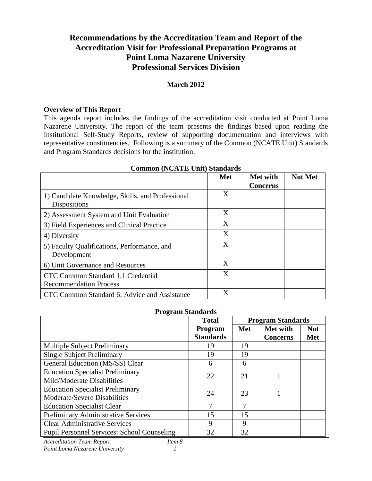# **Recommendations by the Accreditation Team and Report of the Accreditation Visit for Professional Preparation Programs at Point Loma Nazarene University Professional Services Division**

#### **March 2012**

#### **Overview of This Report**

This agenda report includes the findings of the accreditation visit conducted at Point Loma Nazarene University. The report of the team presents the findings based upon reading the Institutional Self-Study Reports, review of supporting documentation and interviews with representative constituencies. Following is a summary of the Common (NCATE Unit) Standards and Program Standards decisions for the institution:

|                                                                     | <b>Met</b> | Met with<br><b>Concerns</b> | <b>Not Met</b> |
|---------------------------------------------------------------------|------------|-----------------------------|----------------|
| 1) Candidate Knowledge, Skills, and Professional<br>Dispositions    | X          |                             |                |
| 2) Assessment System and Unit Evaluation                            | X          |                             |                |
| 3) Field Experiences and Clinical Practice                          | X          |                             |                |
| 4) Diversity                                                        | X          |                             |                |
| 5) Faculty Qualifications, Performance, and<br>Development          | X          |                             |                |
| 6) Unit Governance and Resources                                    | X          |                             |                |
| CTC Common Standard 1.1 Credential<br><b>Recommendation Process</b> | X          |                             |                |
| CTC Common Standard 6: Advice and Assistance                        | X          |                             |                |

#### **Common (NCATE Unit) Standards**

#### **Program Standards**

|                                                    | <b>Total</b>     | <b>Program Standards</b> |                 |            |
|----------------------------------------------------|------------------|--------------------------|-----------------|------------|
|                                                    | Program          | Met                      | Met with        | <b>Not</b> |
|                                                    | <b>Standards</b> |                          | <b>Concerns</b> | <b>Met</b> |
| <b>Multiple Subject Preliminary</b>                | 19               | 19                       |                 |            |
| <b>Single Subject Preliminary</b>                  | 19               | 19                       |                 |            |
| General Education (MS/SS) Clear                    | 6                | 6                        |                 |            |
| <b>Education Specialist Preliminary</b>            | 22               | 21                       |                 |            |
| Mild/Moderate Disabilities                         |                  |                          |                 |            |
| <b>Education Specialist Preliminary</b>            | 24               | 23                       |                 |            |
| Moderate/Severe Disabilities                       |                  |                          |                 |            |
| <b>Education Specialist Clear</b>                  | 7                | 7                        |                 |            |
| Preliminary Administrative Services                | 15               | 15                       |                 |            |
| <b>Clear Administrative Services</b>               | 9                | 9                        |                 |            |
| <b>Pupil Personnel Services: School Counseling</b> | 32               | 32                       |                 |            |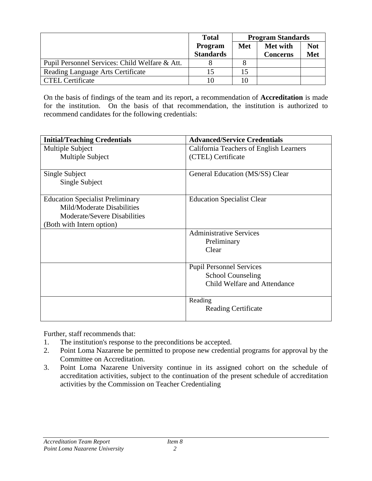|                                                | <b>Program Standards</b><br><b>Total</b> |     |                             |                   |
|------------------------------------------------|------------------------------------------|-----|-----------------------------|-------------------|
|                                                | Program<br><b>Standards</b>              | Met | Met with<br><b>Concerns</b> | <b>Not</b><br>Met |
| Pupil Personnel Services: Child Welfare & Att. |                                          |     |                             |                   |
| Reading Language Arts Certificate              | 15                                       |     |                             |                   |
| <b>CTEL Certificate</b>                        | 10                                       |     |                             |                   |

On the basis of findings of the team and its report, a recommendation of **Accreditation** is made for the institution. On the basis of that recommendation, the institution is authorized to recommend candidates for the following credentials:

| <b>Initial/Teaching Credentials</b>     | <b>Advanced/Service Credentials</b>     |
|-----------------------------------------|-----------------------------------------|
| Multiple Subject                        | California Teachers of English Learners |
| Multiple Subject                        | (CTEL) Certificate                      |
|                                         |                                         |
| Single Subject                          | General Education (MS/SS) Clear         |
| Single Subject                          |                                         |
| <b>Education Specialist Preliminary</b> | <b>Education Specialist Clear</b>       |
| Mild/Moderate Disabilities              |                                         |
| Moderate/Severe Disabilities            |                                         |
| (Both with Intern option)               |                                         |
|                                         | <b>Administrative Services</b>          |
|                                         | Preliminary                             |
|                                         | Clear                                   |
|                                         |                                         |
|                                         | <b>Pupil Personnel Services</b>         |
|                                         | <b>School Counseling</b>                |
|                                         | Child Welfare and Attendance            |
|                                         |                                         |
|                                         | Reading                                 |
|                                         | <b>Reading Certificate</b>              |
|                                         |                                         |

Further, staff recommends that:

- 1. The institution's response to the preconditions be accepted.
- 2. Point Loma Nazarene be permitted to propose new credential programs for approval by the Committee on Accreditation.
- 3. Point Loma Nazarene University continue in its assigned cohort on the schedule of accreditation activities, subject to the continuation of the present schedule of accreditation activities by the Commission on Teacher Credentialing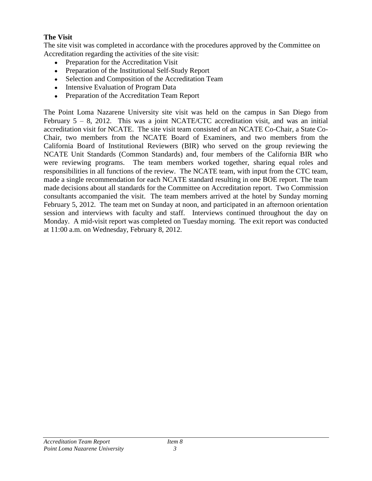#### **The Visit**

The site visit was completed in accordance with the procedures approved by the Committee on Accreditation regarding the activities of the site visit:

- Preparation for the Accreditation Visit
- Preparation of the Institutional Self-Study Report
- Selection and Composition of the Accreditation Team
- Intensive Evaluation of Program Data
- Preparation of the Accreditation Team Report

The Point Loma Nazarene University site visit was held on the campus in San Diego from February  $5 - 8$ , 2012. This was a joint NCATE/CTC accreditation visit, and was an initial accreditation visit for NCATE. The site visit team consisted of an NCATE Co-Chair, a State Co-Chair, two members from the NCATE Board of Examiners, and two members from the California Board of Institutional Reviewers (BIR) who served on the group reviewing the NCATE Unit Standards (Common Standards) and, four members of the California BIR who were reviewing programs. The team members worked together, sharing equal roles and responsibilities in all functions of the review. The NCATE team, with input from the CTC team, made a single recommendation for each NCATE standard resulting in one BOE report. The team made decisions about all standards for the Committee on Accreditation report. Two Commission consultants accompanied the visit. The team members arrived at the hotel by Sunday morning February 5, 2012. The team met on Sunday at noon, and participated in an afternoon orientation session and interviews with faculty and staff. Interviews continued throughout the day on Monday. A mid-visit report was completed on Tuesday morning. The exit report was conducted at 11:00 a.m. on Wednesday, February 8, 2012.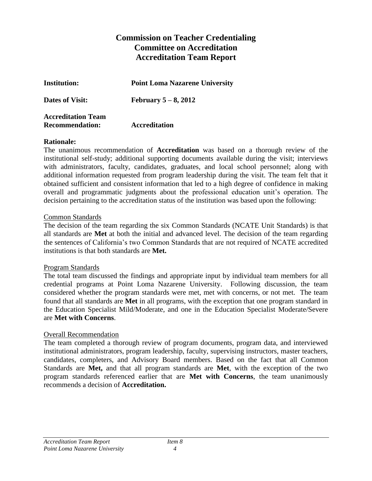# **Commission on Teacher Credentialing Committee on Accreditation Accreditation Team Report**

| <b>Institution:</b>       | <b>Point Loma Nazarene University</b> |
|---------------------------|---------------------------------------|
| <b>Dates of Visit:</b>    | February $5-8$ , 2012                 |
| <b>Accreditation Team</b> |                                       |
| <b>Recommendation:</b>    | <b>Accreditation</b>                  |

#### **Rationale:**

The unanimous recommendation of **Accreditation** was based on a thorough review of the institutional self-study; additional supporting documents available during the visit; interviews with administrators, faculty, candidates, graduates, and local school personnel; along with additional information requested from program leadership during the visit. The team felt that it obtained sufficient and consistent information that led to a high degree of confidence in making overall and programmatic judgments about the professional education unit's operation. The decision pertaining to the accreditation status of the institution was based upon the following:

#### Common Standards

The decision of the team regarding the six Common Standards (NCATE Unit Standards) is that all standards are **Met** at both the initial and advanced level. The decision of the team regarding the sentences of California's two Common Standards that are not required of NCATE accredited institutions is that both standards are **Met.**

#### Program Standards

The total team discussed the findings and appropriate input by individual team members for all credential programs at Point Loma Nazarene University. Following discussion, the team considered whether the program standards were met, met with concerns, or not met. The team found that all standards are **Met** in all programs, with the exception that one program standard in the Education Specialist Mild/Moderate, and one in the Education Specialist Moderate/Severe are **Met with Concerns**.

#### Overall Recommendation

The team completed a thorough review of program documents, program data, and interviewed institutional administrators, program leadership, faculty, supervising instructors, master teachers, candidates, completers, and Advisory Board members. Based on the fact that all Common Standards are **Met,** and that all program standards are **Met**, with the exception of the two program standards referenced earlier that are **Met with Concerns**, the team unanimously recommends a decision of **Accreditation.**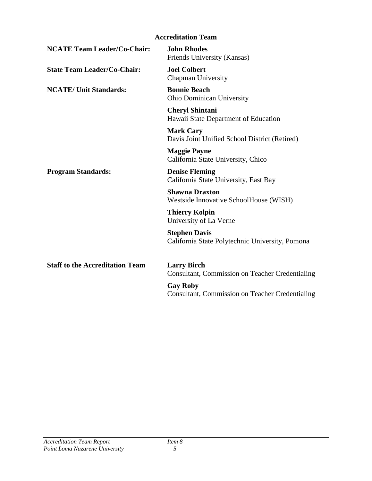|                                        | <b>Accreditation Team</b>                                                    |
|----------------------------------------|------------------------------------------------------------------------------|
| <b>NCATE Team Leader/Co-Chair:</b>     | <b>John Rhodes</b><br>Friends University (Kansas)                            |
| <b>State Team Leader/Co-Chair:</b>     | <b>Joel Colbert</b><br><b>Chapman University</b>                             |
| <b>NCATE/ Unit Standards:</b>          | <b>Bonnie Beach</b><br><b>Ohio Dominican University</b>                      |
|                                        | <b>Cheryl Shintani</b><br>Hawaii State Department of Education               |
|                                        | <b>Mark Cary</b><br>Davis Joint Unified School District (Retired)            |
|                                        | <b>Maggie Payne</b><br>California State University, Chico                    |
| <b>Program Standards:</b>              | <b>Denise Fleming</b><br>California State University, East Bay               |
|                                        | <b>Shawna Draxton</b><br>Westside Innovative SchoolHouse (WISH)              |
|                                        | <b>Thierry Kolpin</b><br>University of La Verne                              |
|                                        | <b>Stephen Davis</b><br>California State Polytechnic University, Pomona      |
| <b>Staff to the Accreditation Team</b> | <b>Larry Birch</b><br><b>Consultant, Commission on Teacher Credentialing</b> |
|                                        | <b>Gay Roby</b><br>Consultant, Commission on Teacher Credentialing           |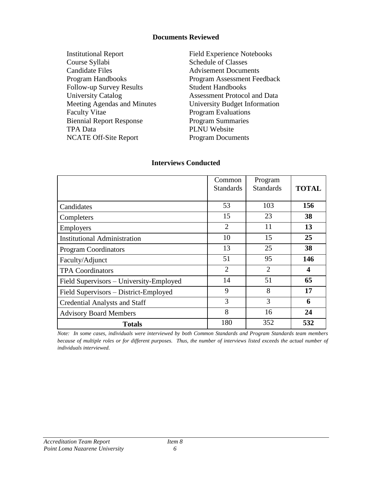#### **Documents Reviewed**

| <b>Institutional Report</b>     |
|---------------------------------|
| Course Syllabi                  |
| <b>Candidate Files</b>          |
| Program Handbooks               |
| <b>Follow-up Survey Results</b> |
| <b>University Catalog</b>       |
| Meeting Agendas and Minutes     |
| <b>Faculty Vitae</b>            |
| <b>Biennial Report Response</b> |
| <b>TPA Data</b>                 |
| <b>NCATE Off-Site Report</b>    |
|                                 |

Field Experience Notebooks Schedule of Classes **Advisement Documents** Program Assessment Feedback Student Handbooks Assessment Protocol and Data University Budget Information Program Evaluations **Program Summaries** PLNU Website Program Documents

# Common Standards Program Standards **TOTAL** Candidates 103 156 Completers 15 15 23 38 Employers 2 11 13 Institutional Administration 10 10 15 25 Program Coordinators 13 25 38 Faculty/Adjunct 146 TPA Coordinators 2 2 4 Field Supervisors – University-Employed 14 51 65 Field Supervisors – District-Employed 9 9 8 17 Credential Analysts and Staff 3 3 6 Advisory Board Members **8** 16 24 **Totals** 180 352 532

#### **Interviews Conducted**

*Note: In some cases, individuals were interviewed by both Common Standards and Program Standards team members because of multiple roles or for different purposes. Thus, the number of interviews listed exceeds the actual number of individuals interviewed.*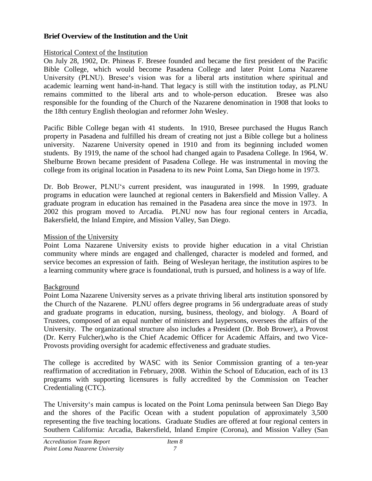#### **Brief Overview of the Institution and the Unit**

#### Historical Context of the Institution

On July 28, 1902, Dr. Phineas F. Bresee founded and became the first president of the Pacific Bible College, which would become Pasadena College and later Point Loma Nazarene University (PLNU). Bresee's vision was for a liberal arts institution where spiritual and academic learning went hand-in-hand. That legacy is still with the institution today, as PLNU remains committed to the liberal arts and to whole-person education. Bresee was also responsible for the founding of the Church of the Nazarene denomination in 1908 that looks to the 18th century English theologian and reformer John Wesley.

Pacific Bible College began with 41 students. In 1910, Bresee purchased the Hugus Ranch property in Pasadena and fulfilled his dream of creating not just a Bible college but a holiness university. Nazarene University opened in 1910 and from its beginning included women students. By 1919, the name of the school had changed again to Pasadena College. In 1964, W. Shelburne Brown became president of Pasadena College. He was instrumental in moving the college from its original location in Pasadena to its new Point Loma, San Diego home in 1973.

Dr. Bob Brower, PLNU‗s current president, was inaugurated in 1998. In 1999, graduate programs in education were launched at regional centers in Bakersfield and Mission Valley. A graduate program in education has remained in the Pasadena area since the move in 1973. In 2002 this program moved to Arcadia. PLNU now has four regional centers in Arcadia, Bakersfield, the Inland Empire, and Mission Valley, San Diego.

#### Mission of the University

Point Loma Nazarene University exists to provide higher education in a vital Christian community where minds are engaged and challenged, character is modeled and formed, and service becomes an expression of faith. Being of Wesleyan heritage, the institution aspires to be a learning community where grace is foundational, truth is pursued, and holiness is a way of life.

#### Background

Point Loma Nazarene University serves as a private thriving liberal arts institution sponsored by the Church of the Nazarene. PLNU offers degree programs in 56 undergraduate areas of study and graduate programs in education, nursing, business, theology, and biology. A Board of Trustees, composed of an equal number of ministers and laypersons, oversees the affairs of the University. The organizational structure also includes a President (Dr. Bob Brower), a Provost (Dr. Kerry Fulcher),who is the Chief Academic Officer for Academic Affairs, and two Vice-Provosts providing oversight for academic effectiveness and graduate studies.

The college is accredited by WASC with its Senior Commission granting of a ten-year reaffirmation of accreditation in February, 2008. Within the School of Education, each of its 13 programs with supporting licensures is fully accredited by the Commission on Teacher Credentialing (CTC).

The University‗s main campus is located on the Point Loma peninsula between San Diego Bay and the shores of the Pacific Ocean with a student population of approximately 3,500 representing the five teaching locations. Graduate Studies are offered at four regional centers in Southern California: Arcadia, Bakersfield, Inland Empire (Corona), and Mission Valley (San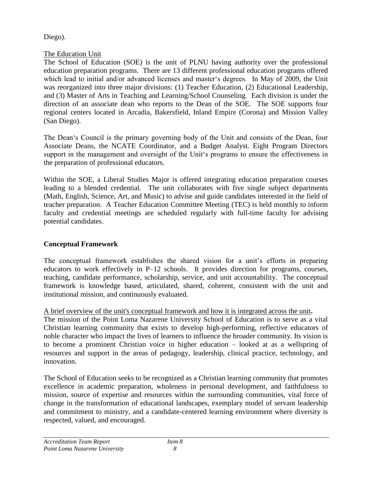## Diego).

# The Education Unit

The School of Education (SOE) is the unit of PLNU having authority over the professional education preparation programs. There are 13 different professional education programs offered which lead to initial and/or advanced licenses and master's degrees. In May of 2009, the Unit was reorganized into three major divisions: (1) Teacher Education, (2) Educational Leadership, and (3) Master of Arts in Teaching and Learning/School Counseling. Each division is under the direction of an associate dean who reports to the Dean of the SOE. The SOE supports four regional centers located in Arcadia, Bakersfield, Inland Empire (Corona) and Mission Valley (San Diego).

The Dean's Council is the primary governing body of the Unit and consists of the Dean, four Associate Deans, the NCATE Coordinator, and a Budget Analyst. Eight Program Directors support in the management and oversight of the Unit's programs to ensure the effectiveness in the preparation of professional educators.

Within the SOE, a Liberal Studies Major is offered integrating education preparation courses leading to a blended credential. The unit collaborates with five single subject departments (Math, English, Science, Art, and Music) to advise and guide candidates interested in the field of teacher preparation. A Teacher Education Committee Meeting (TEC) is held monthly to inform faculty and credential meetings are scheduled regularly with full-time faculty for advising potential candidates.

# **Conceptual Framework**

The conceptual framework establishes the shared vision for a unit's efforts in preparing educators to work effectively in P–12 schools. It provides direction for programs, courses, teaching, candidate performance, scholarship, service, and unit accountability. The conceptual framework is knowledge based, articulated, shared, coherent, consistent with the unit and institutional mission, and continuously evaluated.

## A brief overview of the unit's conceptual framework and how it is integrated across the unit**.**

The mission of the Point Loma Nazarene University School of Education is to serve as a vital Christian learning community that exists to develop high-performing, reflective educators of noble character who impact the lives of learners to influence the broader community. Its vision is to become a prominent Christian voice in higher education – looked at as a wellspring of resources and support in the areas of pedagogy, leadership, clinical practice, technology, and innovation.

The School of Education seeks to be recognized as a Christian learning community that promotes excellence in academic preparation, wholeness in personal development, and faithfulness to mission, source of expertise and resources within the surrounding communities, vital force of change in the transformation of educational landscapes, exemplary model of servant leadership and commitment to ministry, and a candidate-centered learning environment where diversity is respected, valued, and encouraged.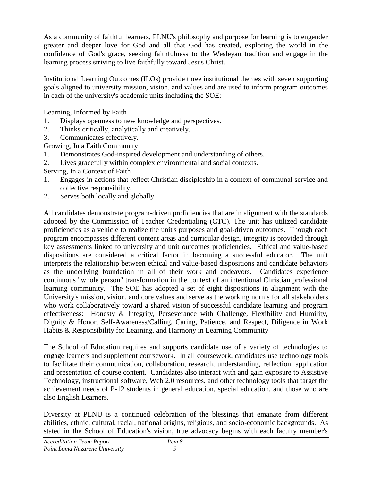As a community of faithful learners, PLNU's philosophy and purpose for learning is to engender greater and deeper love for God and all that God has created, exploring the world in the confidence of God's grace, seeking faithfulness to the Wesleyan tradition and engage in the learning process striving to live faithfully toward Jesus Christ.

Institutional Learning Outcomes (ILOs) provide three institutional themes with seven supporting goals aligned to university mission, vision, and values and are used to inform program outcomes in each of the university's academic units including the SOE:

Learning, Informed by Faith

- 1. Displays openness to new knowledge and perspectives.
- 2. Thinks critically, analytically and creatively.
- 3. Communicates effectively.

Growing, In a Faith Community

- 1. Demonstrates God-inspired development and understanding of others.
- 2. Lives gracefully within complex environmental and social contexts.
- Serving, In a Context of Faith
- 1. Engages in actions that reflect Christian discipleship in a context of communal service and collective responsibility.
- 2. Serves both locally and globally.

All candidates demonstrate program-driven proficiencies that are in alignment with the standards adopted by the Commission of Teacher Credentialing (CTC). The unit has utilized candidate proficiencies as a vehicle to realize the unit's purposes and goal-driven outcomes. Though each program encompasses different content areas and curricular design, integrity is provided through key assessments linked to university and unit outcomes proficiencies. Ethical and value-based dispositions are considered a critical factor in becoming a successful educator. The unit interprets the relationship between ethical and value-based dispositions and candidate behaviors as the underlying foundation in all of their work and endeavors. Candidates experience continuous "whole person" transformation in the context of an intentional Christian professional learning community. The SOE has adopted a set of eight dispositions in alignment with the University's mission, vision, and core values and serve as the working norms for all stakeholders who work collaboratively toward a shared vision of successful candidate learning and program effectiveness: Honesty & Integrity, Perseverance with Challenge, Flexibility and Humility, Dignity & Honor, Self-Awareness/Calling, Caring, Patience, and Respect, Diligence in Work Habits & Responsibility for Learning, and Harmony in Learning Community

The School of Education requires and supports candidate use of a variety of technologies to engage learners and supplement coursework. In all coursework, candidates use technology tools to facilitate their communication, collaboration, research, understanding, reflection, application and presentation of course content. Candidates also interact with and gain exposure to Assistive Technology, instructional software, Web 2.0 resources, and other technology tools that target the achievement needs of P-12 students in general education, special education, and those who are also English Learners.

Diversity at PLNU is a continued celebration of the blessings that emanate from different abilities, ethnic, cultural, racial, national origins, religious, and socio-economic backgrounds. As stated in the School of Education's vision, true advocacy begins with each faculty member's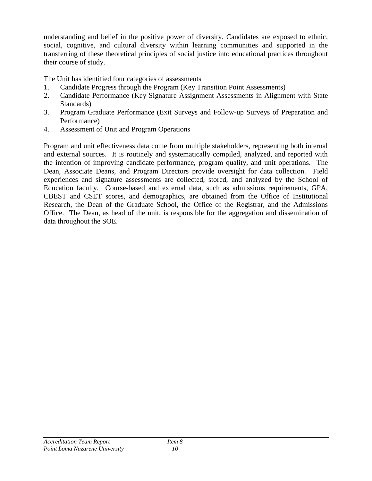understanding and belief in the positive power of diversity. Candidates are exposed to ethnic, social, cognitive, and cultural diversity within learning communities and supported in the transferring of these theoretical principles of social justice into educational practices throughout their course of study.

The Unit has identified four categories of assessments

- 1. Candidate Progress through the Program (Key Transition Point Assessments)
- 2. Candidate Performance (Key Signature Assignment Assessments in Alignment with State Standards)
- 3. Program Graduate Performance (Exit Surveys and Follow-up Surveys of Preparation and Performance)
- 4. Assessment of Unit and Program Operations

Program and unit effectiveness data come from multiple stakeholders, representing both internal and external sources. It is routinely and systematically compiled, analyzed, and reported with the intention of improving candidate performance, program quality, and unit operations. The Dean, Associate Deans, and Program Directors provide oversight for data collection. Field experiences and signature assessments are collected, stored, and analyzed by the School of Education faculty. Course-based and external data, such as admissions requirements, GPA, CBEST and CSET scores, and demographics, are obtained from the Office of Institutional Research, the Dean of the Graduate School, the Office of the Registrar, and the Admissions Office. The Dean, as head of the unit, is responsible for the aggregation and dissemination of data throughout the SOE.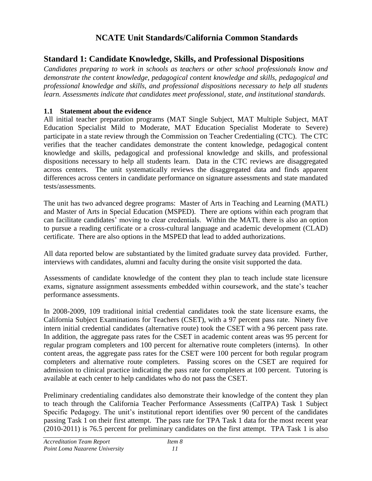# **NCATE Unit Standards/California Common Standards**

# **Standard 1: Candidate Knowledge, Skills, and Professional Dispositions**

*Candidates preparing to work in schools as teachers or other school professionals know and demonstrate the content knowledge, pedagogical content knowledge and skills, pedagogical and professional knowledge and skills, and professional dispositions necessary to help all students learn. Assessments indicate that candidates meet professional, state, and institutional standards.*

## **1.1 Statement about the evidence**

All initial teacher preparation programs (MAT Single Subject, MAT Multiple Subject, MAT Education Specialist Mild to Moderate, MAT Education Specialist Moderate to Severe) participate in a state review through the Commission on Teacher Credentialing (CTC). The CTC verifies that the teacher candidates demonstrate the content knowledge, pedagogical content knowledge and skills, pedagogical and professional knowledge and skills, and professional dispositions necessary to help all students learn. Data in the CTC reviews are disaggregated across centers. The unit systematically reviews the disaggregated data and finds apparent differences across centers in candidate performance on signature assessments and state mandated tests/assessments.

The unit has two advanced degree programs: Master of Arts in Teaching and Learning (MATL) and Master of Arts in Special Education (MSPED). There are options within each program that can facilitate candidates' moving to clear credentials. Within the MATL there is also an option to pursue a reading certificate or a cross-cultural language and academic development (CLAD) certificate. There are also options in the MSPED that lead to added authorizations.

All data reported below are substantiated by the limited graduate survey data provided. Further, interviews with candidates, alumni and faculty during the onsite visit supported the data.

Assessments of candidate knowledge of the content they plan to teach include state licensure exams, signature assignment assessments embedded within coursework, and the state's teacher performance assessments.

In 2008-2009, 109 traditional initial credential candidates took the state licensure exams, the California Subject Examinations for Teachers (CSET), with a 97 percent pass rate. Ninety five intern initial credential candidates (alternative route) took the CSET with a 96 percent pass rate. In addition, the aggregate pass rates for the CSET in academic content areas was 95 percent for regular program completers and 100 percent for alternative route completers (interns). In other content areas, the aggregate pass rates for the CSET were 100 percent for both regular program completers and alternative route completers. Passing scores on the CSET are required for admission to clinical practice indicating the pass rate for completers at 100 percent. Tutoring is available at each center to help candidates who do not pass the CSET.

Preliminary credentialing candidates also demonstrate their knowledge of the content they plan to teach through the California Teacher Performance Assessments (CalTPA) Task 1 Subject Specific Pedagogy. The unit's institutional report identifies over 90 percent of the candidates passing Task 1 on their first attempt. The pass rate for TPA Task 1 data for the most recent year (2010-2011) is 76.5 percent for preliminary candidates on the first attempt. TPA Task 1 is also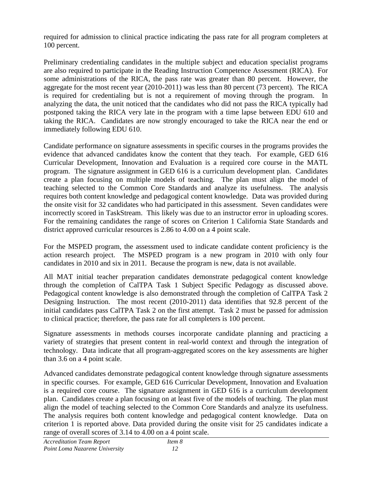required for admission to clinical practice indicating the pass rate for all program completers at 100 percent.

Preliminary credentialing candidates in the multiple subject and education specialist programs are also required to participate in the Reading Instruction Competence Assessment (RICA). For some administrations of the RICA, the pass rate was greater than 80 percent. However, the aggregate for the most recent year (2010-2011) was less than 80 percent (73 percent). The RICA is required for credentialing but is not a requirement of moving through the program. In analyzing the data, the unit noticed that the candidates who did not pass the RICA typically had postponed taking the RICA very late in the program with a time lapse between EDU 610 and taking the RICA. Candidates are now strongly encouraged to take the RICA near the end or immediately following EDU 610.

Candidate performance on signature assessments in specific courses in the programs provides the evidence that advanced candidates know the content that they teach. For example, GED 616 Curricular Development, Innovation and Evaluation is a required core course in the MATL program. The signature assignment in GED 616 is a curriculum development plan. Candidates create a plan focusing on multiple models of teaching. The plan must align the model of teaching selected to the Common Core Standards and analyze its usefulness. The analysis requires both content knowledge and pedagogical content knowledge. Data was provided during the onsite visit for 32 candidates who had participated in this assessment. Seven candidates were incorrectly scored in TaskStream. This likely was due to an instructor error in uploading scores. For the remaining candidates the range of scores on Criterion 1 California State Standards and district approved curricular resources is 2.86 to 4.00 on a 4 point scale.

For the MSPED program, the assessment used to indicate candidate content proficiency is the action research project. The MSPED program is a new program in 2010 with only four candidates in 2010 and six in 2011. Because the program is new, data is not available.

All MAT initial teacher preparation candidates demonstrate pedagogical content knowledge through the completion of CalTPA Task 1 Subject Specific Pedagogy as discussed above. Pedagogical content knowledge is also demonstrated through the completion of CalTPA Task 2 Designing Instruction. The most recent (2010-2011) data identifies that 92.8 percent of the initial candidates pass CalTPA Task 2 on the first attempt. Task 2 must be passed for admission to clinical practice; therefore, the pass rate for all completers is 100 percent.

Signature assessments in methods courses incorporate candidate planning and practicing a variety of strategies that present content in real-world context and through the integration of technology. Data indicate that all program-aggregated scores on the key assessments are higher than 3.6 on a 4 point scale.

Advanced candidates demonstrate pedagogical content knowledge through signature assessments in specific courses. For example, GED 616 Curricular Development, Innovation and Evaluation is a required core course. The signature assignment in GED 616 is a curriculum development plan. Candidates create a plan focusing on at least five of the models of teaching. The plan must align the model of teaching selected to the Common Core Standards and analyze its usefulness. The analysis requires both content knowledge and pedagogical content knowledge. Data on criterion 1 is reported above. Data provided during the onsite visit for 25 candidates indicate a range of overall scores of 3.14 to 4.00 on a 4 point scale.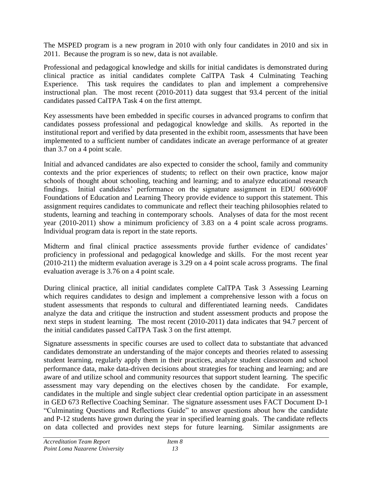The MSPED program is a new program in 2010 with only four candidates in 2010 and six in 2011. Because the program is so new, data is not available.

Professional and pedagogical knowledge and skills for initial candidates is demonstrated during clinical practice as initial candidates complete CalTPA Task 4 Culminating Teaching Experience. This task requires the candidates to plan and implement a comprehensive instructional plan. The most recent (2010-2011) data suggest that 93.4 percent of the initial candidates passed CalTPA Task 4 on the first attempt.

Key assessments have been embedded in specific courses in advanced programs to confirm that candidates possess professional and pedagogical knowledge and skills. As reported in the institutional report and verified by data presented in the exhibit room, assessments that have been implemented to a sufficient number of candidates indicate an average performance of at greater than 3.7 on a 4 point scale.

Initial and advanced candidates are also expected to consider the school, family and community contexts and the prior experiences of students; to reflect on their own practice, know major schools of thought about schooling, teaching and learning; and to analyze educational research findings. Initial candidates' performance on the signature assignment in EDU 600/600F Foundations of Education and Learning Theory provide evidence to support this statement. This assignment requires candidates to communicate and reflect their teaching philosophies related to students, learning and teaching in contemporary schools. Analyses of data for the most recent year (2010-2011) show a minimum proficiency of 3.83 on a 4 point scale across programs. Individual program data is report in the state reports.

Midterm and final clinical practice assessments provide further evidence of candidates' proficiency in professional and pedagogical knowledge and skills. For the most recent year (2010-211) the midterm evaluation average is 3.29 on a 4 point scale across programs. The final evaluation average is 3.76 on a 4 point scale.

During clinical practice, all initial candidates complete CalTPA Task 3 Assessing Learning which requires candidates to design and implement a comprehensive lesson with a focus on student assessments that responds to cultural and differentiated learning needs. Candidates analyze the data and critique the instruction and student assessment products and propose the next steps in student learning. The most recent (2010-2011) data indicates that 94.7 percent of the initial candidates passed CalTPA Task 3 on the first attempt.

Signature assessments in specific courses are used to collect data to substantiate that advanced candidates demonstrate an understanding of the major concepts and theories related to assessing student learning, regularly apply them in their practices, analyze student classroom and school performance data, make data-driven decisions about strategies for teaching and learning; and are aware of and utilize school and community resources that support student learning. The specific assessment may vary depending on the electives chosen by the candidate. For example, candidates in the multiple and single subject clear credential option participate in an assessment in GED 673 Reflective Coaching Seminar. The signature assessment uses FACT Document D-1 ―Culminating Questions and Reflections Guide‖ to answer questions about how the candidate and P-12 students have grown during the year in specified learning goals. The candidate reflects on data collected and provides next steps for future learning. Similar assignments are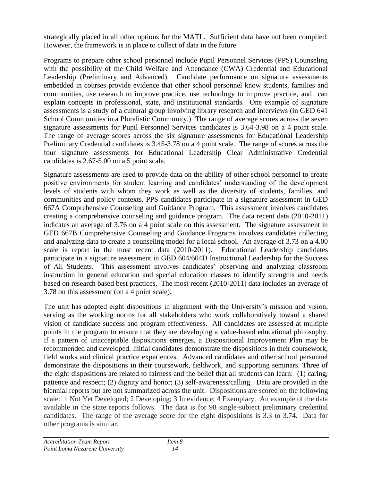strategically placed in all other options for the MATL. Sufficient data have not been compiled. However, the framework is in place to collect of data in the future

Programs to prepare other school personnel include Pupil Personnel Services (PPS) Counseling with the possibility of the Child Welfare and Attendance (CWA) Credential and Educational Leadership (Preliminary and Advanced). Candidate performance on signature assessments embedded in courses provide evidence that other school personnel know students, families and communities, use research to improve practice, use technology to improve practice, and can explain concepts in professional, state, and institutional standards. One example of signature assessments is a study of a cultural group involving library research and interviews (in GED 641 School Communities in a Pluralistic Community.) The range of average scores across the seven signature assessments for Pupil Personnel Services candidates is 3.64-3.98 on a 4 point scale. The range of average scores across the six signature assessments for Educational Leadership Preliminary Credential candidates is 3.45-3.78 on a 4 point scale. The range of scores across the four signature assessments for Educational Leadership Clear Administrative Credential candidates is 2.67-5.00 on a 5 point scale.

Signature assessments are used to provide data on the ability of other school personnel to create positive environments for student learning and candidates' understanding of the development levels of students with whom they work as well as the diversity of students, families, and communities and policy contexts. PPS candidates participate in a signature assessment in GED 667A Comprehensive Counseling and Guidance Program. This assessment involves candidates creating a comprehensive counseling and guidance program. The data recent data (2010-2011) indicates an average of 3.76 on a 4 point scale on this assessment. The signature assessment in GED 667B Comprehensive Counseling and Guidance Programs involves candidates collecting and analyzing data to create a counseling model for a local school. An average of 3.73 on a 4.00 scale is report in the most recent data (2010-2011). Educational Leadership candidates participate in a signature assessment in GED 604/604D Instructional Leadership for the Success of All Students. This assessment involves candidates' observing and analyzing classroom instruction in general education and special education classes to identify strengths and needs based on research based best practices. The most recent (2010-2011) data includes an average of 3.78 on this assessment (on a 4 point scale).

The unit has adopted eight dispositions in alignment with the University's mission and vision, serving as the working norms for all stakeholders who work collaboratively toward a shared vision of candidate success and program effectiveness. All candidates are assessed at multiple points in the program to ensure that they are developing a value-based educational philosophy. If a pattern of unacceptable dispositions emerges, a Dispositional Improvement Plan may be recommended and developed. Initial candidates demonstrate the dispositions in their coursework, field works and clinical practice experiences. Advanced candidates and other school personnel demonstrate the dispositions in their coursework, fieldwork, and supporting seminars. Three of the eight dispositions are related to fairness and the belief that all students can learn: (1) caring, patience and respect; (2) dignity and honor; (3) self-awareness/calling. Data are provided in the biennial reports but are not summarized across the unit. Dispositions are scored on the following scale: 1 Not Yet Developed; 2 Developing; 3 In evidence; 4 Exemplary. An example of the data available in the state reports follows. The data is for 98 single-subject preliminary credential candidates. The range of the average score for the eight dispositions is 3.3 to 3.74. Data for other programs is similar.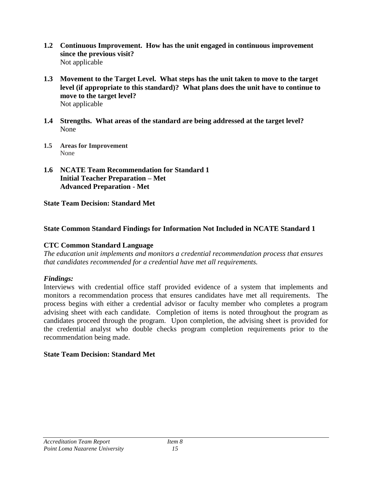- **1.2 Continuous Improvement. How has the unit engaged in continuous improvement since the previous visit?**  Not applicable
- **1.3 Movement to the Target Level. What steps has the unit taken to move to the target level (if appropriate to this standard)? What plans does the unit have to continue to move to the target level?** Not applicable
- **1.4 Strengths. What areas of the standard are being addressed at the target level?** None
- **1.5 Areas for Improvement** None
- **1.6 NCATE Team Recommendation for Standard 1 Initial Teacher Preparation – Met Advanced Preparation - Met**

**State Team Decision: Standard Met**

## **State Common Standard Findings for Information Not Included in NCATE Standard 1**

## **CTC Common Standard Language**

*The education unit implements and monitors a credential recommendation process that ensures that candidates recommended for a credential have met all requirements.*

## *Findings:*

Interviews with credential office staff provided evidence of a system that implements and monitors a recommendation process that ensures candidates have met all requirements. The process begins with either a credential advisor or faculty member who completes a program advising sheet with each candidate. Completion of items is noted throughout the program as candidates proceed through the program. Upon completion, the advising sheet is provided for the credential analyst who double checks program completion requirements prior to the recommendation being made.

## **State Team Decision: Standard Met**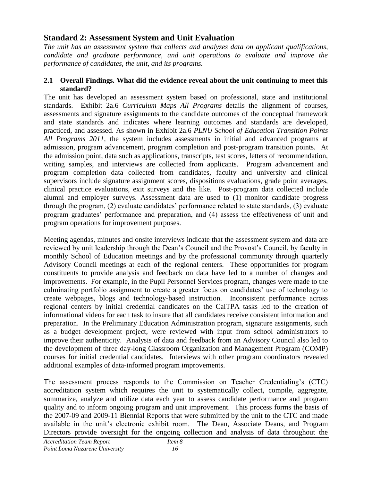# **Standard 2: Assessment System and Unit Evaluation**

*The unit has an assessment system that collects and analyzes data on applicant qualifications, candidate and graduate performance, and unit operations to evaluate and improve the performance of candidates, the unit, and its programs.*

#### **2.1 Overall Findings. What did the evidence reveal about the unit continuing to meet this standard?**

The unit has developed an assessment system based on professional, state and institutional standards. Exhibit 2a.6 *Curriculum Maps All Programs* details the alignment of courses, assessments and signature assignments to the candidate outcomes of the conceptual framework and state standards and indicates where learning outcomes and standards are developed, practiced, and assessed. As shown in Exhibit 2a.6 *PLNU School of Education Transition Points All Programs 2011,* the system includes assessments in initial and advanced programs at admission, program advancement, program completion and post-program transition points. At the admission point, data such as applications, transcripts, test scores, letters of recommendation, writing samples, and interviews are collected from applicants. Program advancement and program completion data collected from candidates, faculty and university and clinical supervisors include signature assignment scores, dispositions evaluations, grade point averages, clinical practice evaluations, exit surveys and the like. Post-program data collected include alumni and employer surveys. Assessment data are used to (1) monitor candidate progress through the program, (2) evaluate candidates' performance related to state standards, (3) evaluate program graduates' performance and preparation, and (4) assess the effectiveness of unit and program operations for improvement purposes.

Meeting agendas, minutes and onsite interviews indicate that the assessment system and data are reviewed by unit leadership through the Dean's Council and the Provost's Council, by faculty in monthly School of Education meetings and by the professional community through quarterly Advisory Council meetings at each of the regional centers. These opportunities for program constituents to provide analysis and feedback on data have led to a number of changes and improvements. For example, in the Pupil Personnel Services program, changes were made to the culminating portfolio assignment to create a greater focus on candidates' use of technology to create webpages, blogs and technology-based instruction. Inconsistent performance across regional centers by initial credential candidates on the CalTPA tasks led to the creation of informational videos for each task to insure that all candidates receive consistent information and preparation. In the Preliminary Education Administration program, signature assignments, such as a budget development project, were reviewed with input from school administrators to improve their authenticity. Analysis of data and feedback from an Advisory Council also led to the development of three day-long Classroom Organization and Management Program (COMP) courses for initial credential candidates. Interviews with other program coordinators revealed additional examples of data-informed program improvements.

The assessment process responds to the Commission on Teacher Credentialing's (CTC) accreditation system which requires the unit to systematically collect, compile, aggregate, summarize, analyze and utilize data each year to assess candidate performance and program quality and to inform ongoing program and unit improvement. This process forms the basis of the 2007-09 and 2009-11 Biennial Reports that were submitted by the unit to the CTC and made available in the unit's electronic exhibit room. The Dean, Associate Deans, and Program Directors provide oversight for the ongoing collection and analysis of data throughout the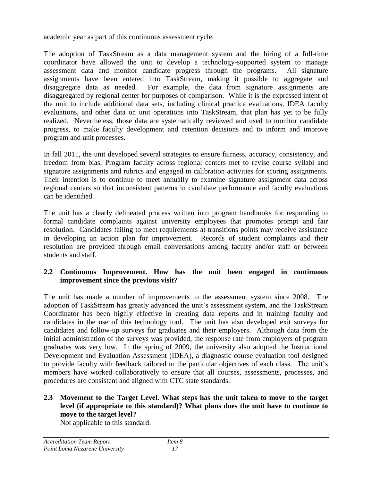academic year as part of this continuous assessment cycle.

The adoption of TaskStream as a data management system and the hiring of a full-time coordinator have allowed the unit to develop a technology-supported system to manage assessment data and monitor candidate progress through the programs. All signature assignments have been entered into TaskStream, making it possible to aggregate and disaggregate data as needed. For example, the data from signature assignments are disaggregated by regional center for purposes of comparison. While it is the expressed intent of the unit to include additional data sets, including clinical practice evaluations, IDEA faculty evaluations, and other data on unit operations into TaskStream, that plan has yet to be fully realized. Nevertheless, those data are systematically reviewed and used to monitor candidate progress, to make faculty development and retention decisions and to inform and improve program and unit processes.

In fall 2011, the unit developed several strategies to ensure fairness, accuracy, consistency, and freedom from bias. Program faculty across regional centers met to revise course syllabi and signature assignments and rubrics and engaged in calibration activities for scoring assignments. Their intention is to continue to meet annually to examine signature assignment data across regional centers so that inconsistent patterns in candidate performance and faculty evaluations can be identified.

The unit has a clearly delineated process written into program handbooks for responding to formal candidate complaints against university employees that promotes prompt and fair resolution. Candidates failing to meet requirements at transitions points may receive assistance in developing an action plan for improvement. Records of student complaints and their resolution are provided through email conversations among faculty and/or staff or between students and staff.

## **2.2 Continuous Improvement. How has the unit been engaged in continuous improvement since the previous visit?**

The unit has made a number of improvements to the assessment system since 2008. The adoption of TaskStream has greatly advanced the unit's assessment system, and the TaskStream Coordinator has been highly effective in creating data reports and in training faculty and candidates in the use of this technology tool. The unit has also developed exit surveys for candidates and follow-up surveys for graduates and their employers. Although data from the initial administration of the surveys was provided, the response rate from employers of program graduates was very low. In the spring of 2009, the university also adopted the Instructional Development and Evaluation Assessment (IDEA), a diagnostic course evaluation tool designed to provide faculty with feedback tailored to the particular objectives of each class. The unit's members have worked collaboratively to ensure that all courses, assessments, processes, and procedures are consistent and aligned with CTC state standards.

## **2.3 Movement to the Target Level. What steps has the unit taken to move to the target level (if appropriate to this standard)? What plans does the unit have to continue to move to the target level?**

Not applicable to this standard.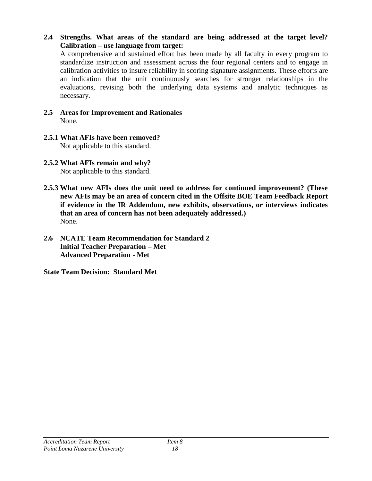**2.4 Strengths. What areas of the standard are being addressed at the target level? Calibration – use language from target:** 

A comprehensive and sustained effort has been made by all faculty in every program to standardize instruction and assessment across the four regional centers and to engage in calibration activities to insure reliability in scoring signature assignments. These efforts are an indication that the unit continuously searches for stronger relationships in the evaluations, revising both the underlying data systems and analytic techniques as necessary.

- **2.5 Areas for Improvement and Rationales** None.
- **2.5.1 What AFIs have been removed?** Not applicable to this standard.
- **2.5.2 What AFIs remain and why?** Not applicable to this standard.
- **2.5.3 What new AFIs does the unit need to address for continued improvement? (These new AFIs may be an area of concern cited in the Offsite BOE Team Feedback Report if evidence in the IR Addendum, new exhibits, observations, or interviews indicates that an area of concern has not been adequately addressed.)**  None.
- **2.6 NCATE Team Recommendation for Standard 2 Initial Teacher Preparation – Met Advanced Preparation** - **Met**

**State Team Decision: Standard Met**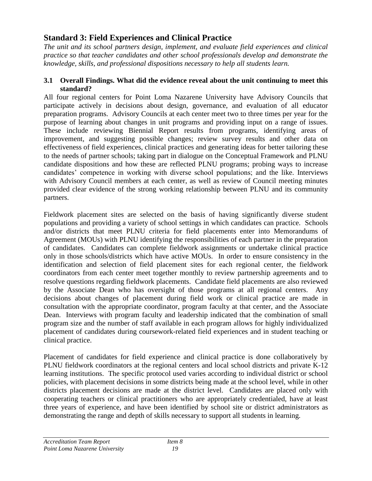# **Standard 3: Field Experiences and Clinical Practice**

*The unit and its school partners design, implement, and evaluate field experiences and clinical practice so that teacher candidates and other school professionals develop and demonstrate the knowledge, skills, and professional dispositions necessary to help all students learn.* 

#### **3.1 Overall Findings. What did the evidence reveal about the unit continuing to meet this standard?**

All four regional centers for Point Loma Nazarene University have Advisory Councils that participate actively in decisions about design, governance, and evaluation of all educator preparation programs. Advisory Councils at each center meet two to three times per year for the purpose of learning about changes in unit programs and providing input on a range of issues. These include reviewing Biennial Report results from programs, identifying areas of improvement, and suggesting possible changes; review survey results and other data on effectiveness of field experiences, clinical practices and generating ideas for better tailoring these to the needs of partner schools; taking part in dialogue on the Conceptual Framework and PLNU candidate dispositions and how these are reflected PLNU programs; probing ways to increase candidates' competence in working with diverse school populations; and the like. Interviews with Advisory Council members at each center, as well as review of Council meeting minutes provided clear evidence of the strong working relationship between PLNU and its community partners.

Fieldwork placement sites are selected on the basis of having significantly diverse student populations and providing a variety of school settings in which candidates can practice. Schools and/or districts that meet PLNU criteria for field placements enter into Memorandums of Agreement (MOUs) with PLNU identifying the responsibilities of each partner in the preparation of candidates. Candidates can complete fieldwork assignments or undertake clinical practice only in those schools/districts which have active MOUs. In order to ensure consistency in the identification and selection of field placement sites for each regional center, the fieldwork coordinators from each center meet together monthly to review partnership agreements and to resolve questions regarding fieldwork placements. Candidate field placements are also reviewed by the Associate Dean who has oversight of those programs at all regional centers. Any decisions about changes of placement during field work or clinical practice are made in consultation with the appropriate coordinator, program faculty at that center, and the Associate Dean. Interviews with program faculty and leadership indicated that the combination of small program size and the number of staff available in each program allows for highly individualized placement of candidates during coursework-related field experiences and in student teaching or clinical practice.

Placement of candidates for field experience and clinical practice is done collaboratively by PLNU fieldwork coordinators at the regional centers and local school districts and private K-12 learning institutions. The specific protocol used varies according to individual district or school policies, with placement decisions in some districts being made at the school level, while in other districts placement decisions are made at the district level. Candidates are placed only with cooperating teachers or clinical practitioners who are appropriately credentialed, have at least three years of experience, and have been identified by school site or district administrators as demonstrating the range and depth of skills necessary to support all students in learning.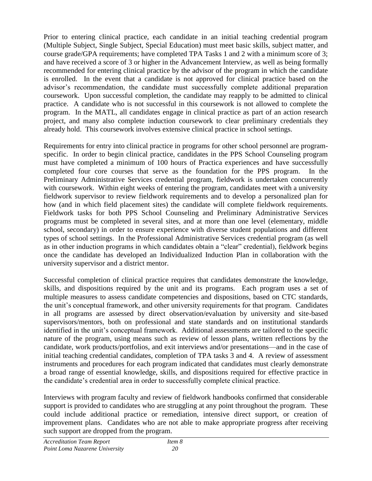Prior to entering clinical practice, each candidate in an initial teaching credential program (Multiple Subject, Single Subject, Special Education) must meet basic skills, subject matter, and course grade/GPA requirements; have completed TPA Tasks 1 and 2 with a minimum score of 3; and have received a score of 3 or higher in the Advancement Interview, as well as being formally recommended for entering clinical practice by the advisor of the program in which the candidate is enrolled. In the event that a candidate is not approved for clinical practice based on the advisor's recommendation, the candidate must successfully complete additional preparation coursework. Upon successful completion, the candidate may reapply to be admitted to clinical practice. A candidate who is not successful in this coursework is not allowed to complete the program. In the MATL, all candidates engage in clinical practice as part of an action research project, and many also complete induction coursework to clear preliminary credentials they already hold. This coursework involves extensive clinical practice in school settings.

Requirements for entry into clinical practice in programs for other school personnel are programspecific. In order to begin clinical practice, candidates in the PPS School Counseling program must have completed a minimum of 100 hours of Practica experiences and have successfully completed four core courses that serve as the foundation for the PPS program. In the Preliminary Administrative Services credential program, fieldwork is undertaken concurrently with coursework. Within eight weeks of entering the program, candidates meet with a university fieldwork supervisor to review fieldwork requirements and to develop a personalized plan for how (and in which field placement sites) the candidate will complete fieldwork requirements. Fieldwork tasks for both PPS School Counseling and Preliminary Administrative Services programs must be completed in several sites, and at more than one level (elementary, middle school, secondary) in order to ensure experience with diverse student populations and different types of school settings. In the Professional Administrative Services credential program (as well as in other induction programs in which candidates obtain a "clear" credential), fieldwork begins once the candidate has developed an Individualized Induction Plan in collaboration with the university supervisor and a district mentor.

Successful completion of clinical practice requires that candidates demonstrate the knowledge, skills, and dispositions required by the unit and its programs. Each program uses a set of multiple measures to assess candidate competencies and dispositions, based on CTC standards, the unit's conceptual framework, and other university requirements for that program. Candidates in all programs are assessed by direct observation/evaluation by university and site-based supervisors/mentors, both on professional and state standards and on institutional standards identified in the unit's conceptual framework. Additional assessments are tailored to the specific nature of the program, using means such as review of lesson plans, written reflections by the candidate, work products/portfolios, and exit interviews and/or presentations—and in the case of initial teaching credential candidates, completion of TPA tasks 3 and 4. A review of assessment instruments and procedures for each program indicated that candidates must clearly demonstrate a broad range of essential knowledge, skills, and dispositions required for effective practice in the candidate's credential area in order to successfully complete clinical practice.

Interviews with program faculty and review of fieldwork handbooks confirmed that considerable support is provided to candidates who are struggling at any point throughout the program. These could include additional practice or remediation, intensive direct support, or creation of improvement plans. Candidates who are not able to make appropriate progress after receiving such support are dropped from the program.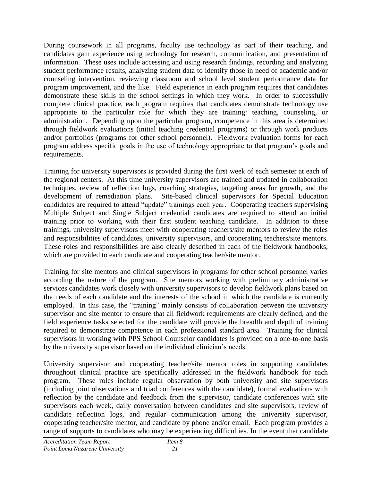During coursework in all programs, faculty use technology as part of their teaching, and candidates gain experience using technology for research, communication, and presentation of information. These uses include accessing and using research findings, recording and analyzing student performance results, analyzing student data to identify those in need of academic and/or counseling intervention, reviewing classroom and school level student performance data for program improvement, and the like. Field experience in each program requires that candidates demonstrate these skills in the school settings in which they work. In order to successfully complete clinical practice, each program requires that candidates demonstrate technology use appropriate to the particular role for which they are training: teaching, counseling, or administration. Depending upon the particular program, competence in this area is determined through fieldwork evaluations (initial teaching credential programs) or through work products and/or portfolios (programs for other school personnel). Fieldwork evaluation forms for each program address specific goals in the use of technology appropriate to that program's goals and requirements.

Training for university supervisors is provided during the first week of each semester at each of the regional centers. At this time university supervisors are trained and updated in collaboration techniques, review of reflection logs, coaching strategies, targeting areas for growth, and the development of remediation plans. Site-based clinical supervisors for Special Education candidates are required to attend "update" trainings each year. Cooperating teachers supervising Multiple Subject and Single Subject credential candidates are required to attend an initial training prior to working with their first student teaching candidate. In addition to these trainings, university supervisors meet with cooperating teachers/site mentors to review the roles and responsibilities of candidates, university supervisors, and cooperating teachers/site mentors. These roles and responsibilities are also clearly described in each of the fieldwork handbooks, which are provided to each candidate and cooperating teacher/site mentor.

Training for site mentors and clinical supervisors in programs for other school personnel varies according the nature of the program. Site mentors working with preliminary administrative services candidates work closely with university supervisors to develop fieldwork plans based on the needs of each candidate and the interests of the school in which the candidate is currently employed. In this case, the "training" mainly consists of collaboration between the university supervisor and site mentor to ensure that all fieldwork requirements are clearly defined, and the field experience tasks selected for the candidate will provide the breadth and depth of training required to demonstrate competence in each professional standard area. Training for clinical supervisors in working with PPS School Counselor candidates is provided on a one-to-one basis by the university supervisor based on the individual clinician's needs.

University supervisor and cooperating teacher/site mentor roles in supporting candidates throughout clinical practice are specifically addressed in the fieldwork handbook for each program. These roles include regular observation by both university and site supervisors (including joint observations and triad conferences with the candidate), formal evaluations with reflection by the candidate and feedback from the supervisor, candidate conferences with site supervisors each week, daily conversation between candidates and site supervisors, review of candidate reflection logs, and regular communication among the university supervisor, cooperating teacher/site mentor, and candidate by phone and/or email. Each program provides a range of supports to candidates who may be experiencing difficulties. In the event that candidate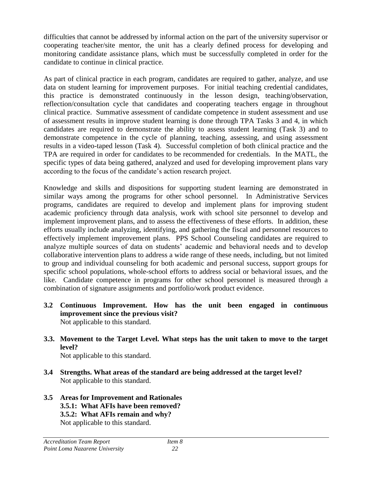difficulties that cannot be addressed by informal action on the part of the university supervisor or cooperating teacher/site mentor, the unit has a clearly defined process for developing and monitoring candidate assistance plans, which must be successfully completed in order for the candidate to continue in clinical practice.

As part of clinical practice in each program, candidates are required to gather, analyze, and use data on student learning for improvement purposes. For initial teaching credential candidates, this practice is demonstrated continuously in the lesson design, teaching/observation, reflection/consultation cycle that candidates and cooperating teachers engage in throughout clinical practice. Summative assessment of candidate competence in student assessment and use of assessment results in improve student learning is done through TPA Tasks 3 and 4, in which candidates are required to demonstrate the ability to assess student learning (Task 3) and to demonstrate competence in the cycle of planning, teaching, assessing, and using assessment results in a video-taped lesson (Task 4). Successful completion of both clinical practice and the TPA are required in order for candidates to be recommended for credentials. In the MATL, the specific types of data being gathered, analyzed and used for developing improvement plans vary according to the focus of the candidate's action research project.

Knowledge and skills and dispositions for supporting student learning are demonstrated in similar ways among the programs for other school personnel. In Administrative Services programs, candidates are required to develop and implement plans for improving student academic proficiency through data analysis, work with school site personnel to develop and implement improvement plans, and to assess the effectiveness of these efforts. In addition, these efforts usually include analyzing, identifying, and gathering the fiscal and personnel resources to effectively implement improvement plans. PPS School Counseling candidates are required to analyze multiple sources of data on students' academic and behavioral needs and to develop collaborative intervention plans to address a wide range of these needs, including, but not limited to group and individual counseling for both academic and personal success, support groups for specific school populations, whole-school efforts to address social or behavioral issues, and the like. Candidate competence in programs for other school personnel is measured through a combination of signature assignments and portfolio/work product evidence.

- **3.2 Continuous Improvement. How has the unit been engaged in continuous improvement since the previous visit?** Not applicable to this standard.
- **3.3. Movement to the Target Level. What steps has the unit taken to move to the target level?**

Not applicable to this standard.

- **3.4 Strengths. What areas of the standard are being addressed at the target level?** Not applicable to this standard.
- **3.5 Areas for Improvement and Rationales 3.5.1: What AFIs have been removed? 3.5.2: What AFIs remain and why?** Not applicable to this standard.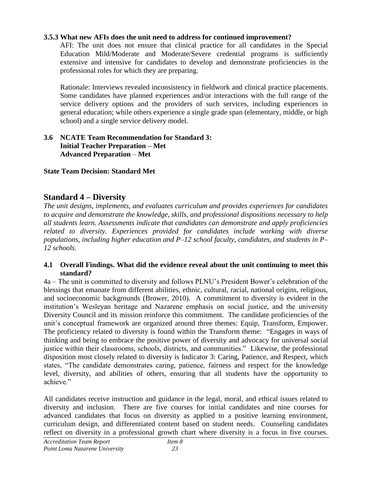## **3.5.3 What new AFIs does the unit need to address for continued improvement?**

AFI: The unit does not ensure that clinical practice for all candidates in the Special Education Mild/Moderate and Moderate/Severe credential programs is sufficiently extensive and intensive for candidates to develop and demonstrate proficiencies in the professional roles for which they are preparing.

Rationale: Interviews revealed inconsistency in fieldwork and clinical practice placements. Some candidates have planned experiences and/or interactions with the full range of the service delivery options and the providers of such services, including experiences in general education; while others experience a single grade span (elementary, middle, or high school) and a single service delivery model.

#### **3.6 NCATE Team Recommendation for Standard 3: Initial Teacher Preparation – Met Advanced Preparation** – **Met**

## **State Team Decision: Standard Met**

## **Standard 4 – Diversity**

*The unit designs, implements, and evaluates curriculum and provides experiences for candidates to acquire and demonstrate the knowledge, skills, and professional dispositions necessary to help all students learn. Assessments indicate that candidates can demonstrate and apply proficiencies related to diversity. Experiences provided for candidates include working with diverse populations, including higher education and P–12 school faculty, candidates, and students in P– 12 schools.*

#### **4.1 Overall Findings. What did the evidence reveal about the unit continuing to meet this standard?**

4a – The unit is committed to diversity and follows PLNU's President Bower's celebration of the blessings that emanate from different abilities, ethnic, cultural, racial, national origins, religious, and socioeconomic backgrounds (Brower, 2010). A commitment to diversity is evident in the institution's Wesleyan heritage and Nazarene emphasis on social justice, and the university Diversity Council and its mission reinforce this commitment. The candidate proficiencies of the unit's conceptual framework are organized around three themes: Equip, Transform, Empower. The proficiency related to diversity is found within the Transform theme: "Engages in ways of thinking and being to embrace the positive power of diversity and advocacy for universal social justice within their classrooms, schools, districts, and communities." Likewise, the professional disposition most closely related to diversity is Indicator 3: Caring, Patience, and Respect, which states, "The candidate demonstrates caring, patience, fairness and respect for the knowledge level, diversity, and abilities of others, ensuring that all students have the opportunity to achieve"

All candidates receive instruction and guidance in the legal, moral, and ethical issues related to diversity and inclusion. There are five courses for initial candidates and nine courses for advanced candidates that focus on diversity as applied to a positive learning environment, curriculum design, and differentiated content based on student needs. Counseling candidates reflect on diversity in a professional growth chart where diversity is a focus in five courses.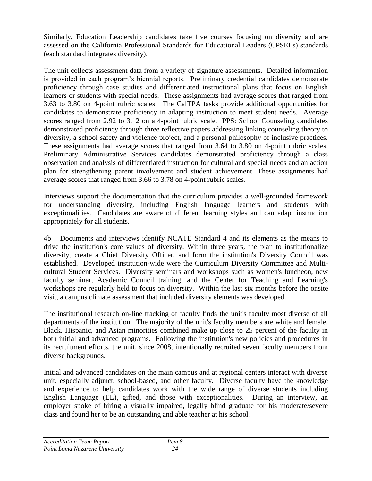Similarly, Education Leadership candidates take five courses focusing on diversity and are assessed on the California Professional Standards for Educational Leaders (CPSELs) standards (each standard integrates diversity).

The unit collects assessment data from a variety of signature assessments. Detailed information is provided in each program's biennial reports. Preliminary credential candidates demonstrate proficiency through case studies and differentiated instructional plans that focus on English learners or students with special needs. These assignments had average scores that ranged from 3.63 to 3.80 on 4-point rubric scales. The CalTPA tasks provide additional opportunities for candidates to demonstrate proficiency in adapting instruction to meet student needs. Average scores ranged from 2.92 to 3.12 on a 4-point rubric scale. PPS: School Counseling candidates demonstrated proficiency through three reflective papers addressing linking counseling theory to diversity, a school safety and violence project, and a personal philosophy of inclusive practices. These assignments had average scores that ranged from 3.64 to 3.80 on 4-point rubric scales. Preliminary Administrative Services candidates demonstrated proficiency through a class observation and analysis of differentiated instruction for cultural and special needs and an action plan for strengthening parent involvement and student achievement. These assignments had average scores that ranged from 3.66 to 3.78 on 4-point rubric scales.

Interviews support the documentation that the curriculum provides a well-grounded framework for understanding diversity, including English language learners and students with exceptionalities. Candidates are aware of different learning styles and can adapt instruction appropriately for all students.

4b – Documents and interviews identify NCATE Standard 4 and its elements as the means to drive the institution's core values of diversity. Within three years, the plan to institutionalize diversity, create a Chief Diversity Officer, and form the institution's Diversity Council was established. Developed institution-wide were the Curriculum Diversity Committee and Multicultural Student Services. Diversity seminars and workshops such as women's luncheon, new faculty seminar, Academic Council training, and the Center for Teaching and Learning's workshops are regularly held to focus on diversity. Within the last six months before the onsite visit, a campus climate assessment that included diversity elements was developed.

The institutional research on-line tracking of faculty finds the unit's faculty most diverse of all departments of the institution. The majority of the unit's faculty members are white and female. Black, Hispanic, and Asian minorities combined make up close to 25 percent of the faculty in both initial and advanced programs. Following the institution's new policies and procedures in its recruitment efforts, the unit, since 2008, intentionally recruited seven faculty members from diverse backgrounds.

Initial and advanced candidates on the main campus and at regional centers interact with diverse unit, especially adjunct, school-based, and other faculty. Diverse faculty have the knowledge and experience to help candidates work with the wide range of diverse students including English Language (EL), gifted, and those with exceptionalities. During an interview, an employer spoke of hiring a visually impaired, legally blind graduate for his moderate/severe class and found her to be an outstanding and able teacher at his school.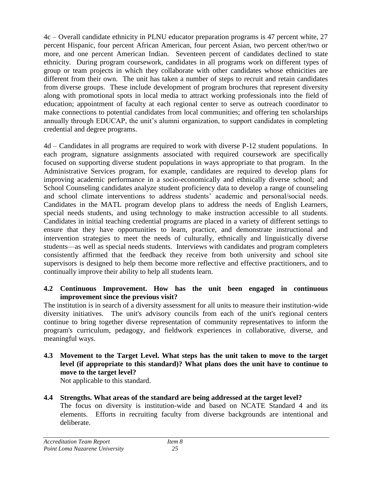4c – Overall candidate ethnicity in PLNU educator preparation programs is 47 percent white, 27 percent Hispanic, four percent African American, four percent Asian, two percent other/two or more, and one percent American Indian. Seventeen percent of candidates declined to state ethnicity. During program coursework, candidates in all programs work on different types of group or team projects in which they collaborate with other candidates whose ethnicities are different from their own. The unit has taken a number of steps to recruit and retain candidates from diverse groups. These include development of program brochures that represent diversity along with promotional spots in local media to attract working professionals into the field of education; appointment of faculty at each regional center to serve as outreach coordinator to make connections to potential candidates from local communities; and offering ten scholarships annually through EDUCAP, the unit's alumni organization, to support candidates in completing credential and degree programs.

4d – Candidates in all programs are required to work with diverse P-12 student populations. In each program, signature assignments associated with required coursework are specifically focused on supporting diverse student populations in ways appropriate to that program. In the Administrative Services program, for example, candidates are required to develop plans for improving academic performance in a socio-economically and ethnically diverse school; and School Counseling candidates analyze student proficiency data to develop a range of counseling and school climate interventions to address students' academic and personal/social needs. Candidates in the MATL program develop plans to address the needs of English Learners, special needs students, and using technology to make instruction accessible to all students. Candidates in initial teaching credential programs are placed in a variety of different settings to ensure that they have opportunities to learn, practice, and demonstrate instructional and intervention strategies to meet the needs of culturally, ethnically and linguistically diverse students—as well as special needs students. Interviews with candidates and program completers consistently affirmed that the feedback they receive from both university and school site supervisors is designed to help them become more reflective and effective practitioners, and to continually improve their ability to help all students learn.

#### **4.2 Continuous Improvement. How has the unit been engaged in continuous improvement since the previous visit?**

The institution is in search of a diversity assessment for all units to measure their institution-wide diversity initiatives. The unit's advisory councils from each of the unit's regional centers continue to bring together diverse representation of community representatives to inform the program's curriculum, pedagogy, and fieldwork experiences in collaborative, diverse, and meaningful ways.

**4.3 Movement to the Target Level. What steps has the unit taken to move to the target level (if appropriate to this standard)? What plans does the unit have to continue to move to the target level?**

Not applicable to this standard.

## **4.4 Strengths. What areas of the standard are being addressed at the target level?**

The focus on diversity is institution-wide and based on NCATE Standard 4 and its elements. Efforts in recruiting faculty from diverse backgrounds are intentional and deliberate.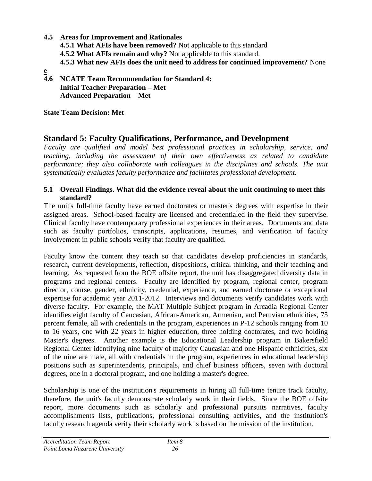**4.5 Areas for Improvement and Rationales 4.5.1 What AFIs have been removed?** Not applicable to this standard **4.5.2 What AFIs remain and why?** Not applicable to this standard. **4.5.3 What new AFIs does the unit need to address for continued improvement?** None **e**

**4.6 NCATE Team Recommendation for Standard 4: Initial Teacher Preparation – Met Advanced Preparation** – **Met**

**State Team Decision: Met**

# **Standard 5: Faculty Qualifications, Performance, and Development**

*Faculty are qualified and model best professional practices in scholarship, service, and teaching, including the assessment of their own effectiveness as related to candidate performance; they also collaborate with colleagues in the disciplines and schools. The unit systematically evaluates faculty performance and facilitates professional development.*

#### **5.1 Overall Findings. What did the evidence reveal about the unit continuing to meet this standard?**

The unit's full-time faculty have earned doctorates or master's degrees with expertise in their assigned areas. School-based faculty are licensed and credentialed in the field they supervise. Clinical faculty have contemporary professional experiences in their areas. Documents and data such as faculty portfolios, transcripts, applications, resumes, and verification of faculty involvement in public schools verify that faculty are qualified.

Faculty know the content they teach so that candidates develop proficiencies in standards, research, current developments, reflection, dispositions, critical thinking, and their teaching and learning. As requested from the BOE offsite report, the unit has disaggregated diversity data in programs and regional centers. Faculty are identified by program, regional center, program director, course, gender, ethnicity, credential, experience, and earned doctorate or exceptional expertise for academic year 2011-2012. Interviews and documents verify candidates work with diverse faculty. For example, the MAT Multiple Subject program in Arcadia Regional Center identifies eight faculty of Caucasian, African-American, Armenian, and Peruvian ethnicities, 75 percent female, all with credentials in the program, experiences in P-12 schools ranging from 10 to 16 years, one with 22 years in higher education, three holding doctorates, and two holding Master's degrees. Another example is the Educational Leadership program in Bakersfield Regional Center identifying nine faculty of majority Caucasian and one Hispanic ethnicities, six of the nine are male, all with credentials in the program, experiences in educational leadership positions such as superintendents, principals, and chief business officers, seven with doctoral degrees, one in a doctoral program, and one holding a master's degree.

Scholarship is one of the institution's requirements in hiring all full-time tenure track faculty, therefore, the unit's faculty demonstrate scholarly work in their fields. Since the BOE offsite report, more documents such as scholarly and professional pursuits narratives, faculty accomplishments lists, publications, professional consulting activities, and the institution's faculty research agenda verify their scholarly work is based on the mission of the institution.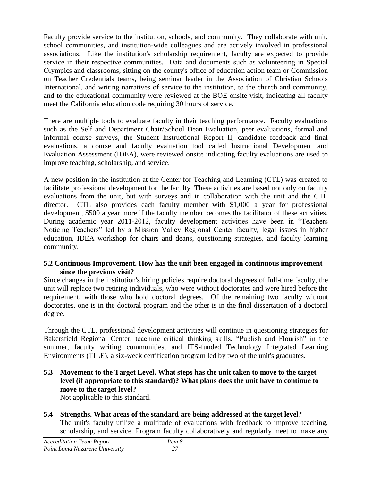Faculty provide service to the institution, schools, and community. They collaborate with unit, school communities, and institution-wide colleagues and are actively involved in professional associations. Like the institution's scholarship requirement, faculty are expected to provide service in their respective communities. Data and documents such as volunteering in Special Olympics and classrooms, sitting on the county's office of education action team or Commission on Teacher Credentials teams, being seminar leader in the Association of Christian Schools International, and writing narratives of service to the institution, to the church and community, and to the educational community were reviewed at the BOE onsite visit, indicating all faculty meet the California education code requiring 30 hours of service.

There are multiple tools to evaluate faculty in their teaching performance. Faculty evaluations such as the Self and Department Chair/School Dean Evaluation, peer evaluations, formal and informal course surveys, the Student Instructional Report II, candidate feedback and final evaluations, a course and faculty evaluation tool called Instructional Development and Evaluation Assessment (IDEA), were reviewed onsite indicating faculty evaluations are used to improve teaching, scholarship, and service.

A new position in the institution at the Center for Teaching and Learning (CTL) was created to facilitate professional development for the faculty. These activities are based not only on faculty evaluations from the unit, but with surveys and in collaboration with the unit and the CTL director. CTL also provides each faculty member with \$1,000 a year for professional development, \$500 a year more if the faculty member becomes the facilitator of these activities. During academic year 2011-2012, faculty development activities have been in "Teachers" Noticing Teachers" led by a Mission Valley Regional Center faculty, legal issues in higher education, IDEA workshop for chairs and deans, questioning strategies, and faculty learning community.

#### **5.2 Continuous Improvement. How has the unit been engaged in continuous improvement since the previous visit?**

Since changes in the institution's hiring policies require doctoral degrees of full-time faculty, the unit will replace two retiring individuals, who were without doctorates and were hired before the requirement, with those who hold doctoral degrees. Of the remaining two faculty without doctorates, one is in the doctoral program and the other is in the final dissertation of a doctoral degree.

Through the CTL, professional development activities will continue in questioning strategies for Bakersfield Regional Center, teaching critical thinking skills, "Publish and Flourish" in the summer, faculty writing communities, and ITS-funded Technology Integrated Learning Environments (TILE), a six-week certification program led by two of the unit's graduates.

**5.3 Movement to the Target Level. What steps has the unit taken to move to the target level (if appropriate to this standard)? What plans does the unit have to continue to move to the target level?** 

Not applicable to this standard.

**5.4 Strengths. What areas of the standard are being addressed at the target level?** The unit's faculty utilize a multitude of evaluations with feedback to improve teaching, scholarship, and service. Program faculty collaboratively and regularly meet to make any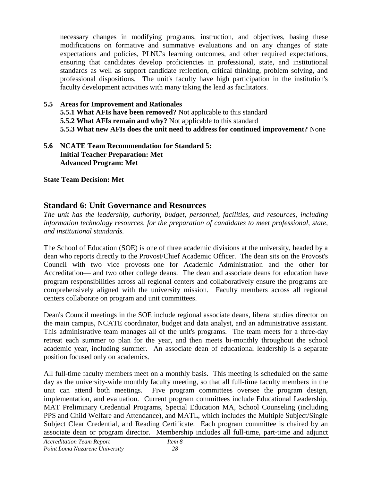necessary changes in modifying programs, instruction, and objectives, basing these modifications on formative and summative evaluations and on any changes of state expectations and policies, PLNU's learning outcomes, and other required expectations, ensuring that candidates develop proficiencies in professional, state, and institutional standards as well as support candidate reflection, critical thinking, problem solving, and professional dispositions. The unit's faculty have high participation in the institution's faculty development activities with many taking the lead as facilitators.

## **5.5 Areas for Improvement and Rationales 5.5.1 What AFIs have been removed?** Not applicable to this standard **5.5.2 What AFIs remain and why?** Not applicable to this standard **5.5.3 What new AFIs does the unit need to address for continued improvement?** None

#### **5.6 NCATE Team Recommendation for Standard 5: Initial Teacher Preparation: Met Advanced Program: Met**

**State Team Decision: Met**

# **Standard 6: Unit Governance and Resources**

*The unit has the leadership, authority, budget, personnel, facilities, and resources, including information technology resources, for the preparation of candidates to meet professional, state, and institutional standards.*

The School of Education (SOE) is one of three academic divisions at the university, headed by a dean who reports directly to the Provost/Chief Academic Officer. The dean sits on the Provost's Council with two vice provosts–one for Academic Administration and the other for Accreditation— and two other college deans. The dean and associate deans for education have program responsibilities across all regional centers and collaboratively ensure the programs are comprehensively aligned with the university mission. Faculty members across all regional centers collaborate on program and unit committees.

Dean's Council meetings in the SOE include regional associate deans, liberal studies director on the main campus, NCATE coordinator, budget and data analyst, and an administrative assistant. This administrative team manages all of the unit's programs. The team meets for a three-day retreat each summer to plan for the year, and then meets bi-monthly throughout the school academic year, including summer. An associate dean of educational leadership is a separate position focused only on academics.

All full-time faculty members meet on a monthly basis. This meeting is scheduled on the same day as the university-wide monthly faculty meeting, so that all full-time faculty members in the unit can attend both meetings. Five program committees oversee the program design, implementation, and evaluation. Current program committees include Educational Leadership, MAT Preliminary Credential Programs, Special Education MA, School Counseling (including PPS and Child Welfare and Attendance), and MATL, which includes the Multiple Subject/Single Subject Clear Credential, and Reading Certificate. Each program committee is chaired by an associate dean or program director. Membership includes all full-time, part-time and adjunct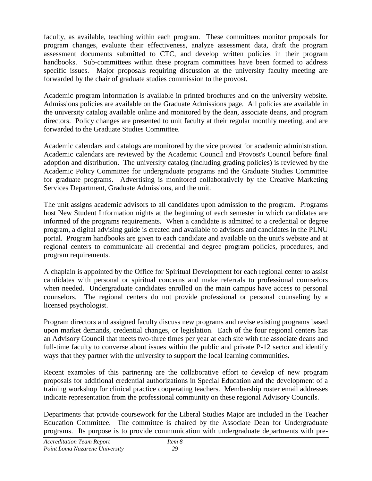faculty, as available, teaching within each program. These committees monitor proposals for program changes, evaluate their effectiveness, analyze assessment data, draft the program assessment documents submitted to CTC, and develop written policies in their program handbooks. Sub-committees within these program committees have been formed to address specific issues. Major proposals requiring discussion at the university faculty meeting are forwarded by the chair of graduate studies commission to the provost.

Academic program information is available in printed brochures and on the university website. Admissions policies are available on the Graduate Admissions page. All policies are available in the university catalog available online and monitored by the dean, associate deans, and program directors. Policy changes are presented to unit faculty at their regular monthly meeting, and are forwarded to the Graduate Studies Committee.

Academic calendars and catalogs are monitored by the vice provost for academic administration. Academic calendars are reviewed by the Academic Council and Provost's Council before final adoption and distribution. The university catalog (including grading policies) is reviewed by the Academic Policy Committee for undergraduate programs and the Graduate Studies Committee for graduate programs. Advertising is monitored collaboratively by the Creative Marketing Services Department, Graduate Admissions, and the unit.

The unit assigns academic advisors to all candidates upon admission to the program. Programs host New Student Information nights at the beginning of each semester in which candidates are informed of the programs requirements. When a candidate is admitted to a credential or degree program, a digital advising guide is created and available to advisors and candidates in the PLNU portal. Program handbooks are given to each candidate and available on the unit's website and at regional centers to communicate all credential and degree program policies, procedures, and program requirements.

A chaplain is appointed by the Office for Spiritual Development for each regional center to assist candidates with personal or spiritual concerns and make referrals to professional counselors when needed. Undergraduate candidates enrolled on the main campus have access to personal counselors. The regional centers do not provide professional or personal counseling by a licensed psychologist.

Program directors and assigned faculty discuss new programs and revise existing programs based upon market demands, credential changes, or legislation. Each of the four regional centers has an Advisory Council that meets two-three times per year at each site with the associate deans and full-time faculty to converse about issues within the public and private P-12 sector and identify ways that they partner with the university to support the local learning communities.

Recent examples of this partnering are the collaborative effort to develop of new program proposals for additional credential authorizations in Special Education and the development of a training workshop for clinical practice cooperating teachers. Membership roster email addresses indicate representation from the professional community on these regional Advisory Councils.

Departments that provide coursework for the Liberal Studies Major are included in the Teacher Education Committee. The committee is chaired by the Associate Dean for Undergraduate programs. Its purpose is to provide communication with undergraduate departments with pre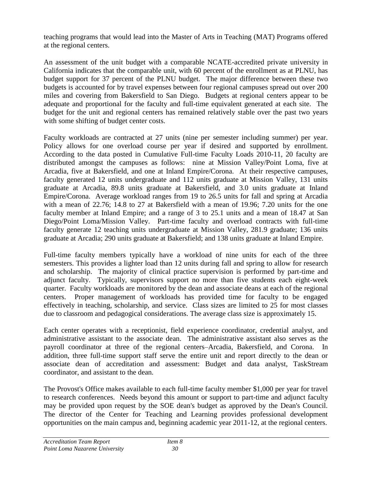teaching programs that would lead into the Master of Arts in Teaching (MAT) Programs offered at the regional centers.

An assessment of the unit budget with a comparable NCATE-accredited private university in California indicates that the comparable unit, with 60 percent of the enrollment as at PLNU, has budget support for 37 percent of the PLNU budget. The major difference between these two budgets is accounted for by travel expenses between four regional campuses spread out over 200 miles and covering from Bakersfield to San Diego. Budgets at regional centers appear to be adequate and proportional for the faculty and full-time equivalent generated at each site. The budget for the unit and regional centers has remained relatively stable over the past two years with some shifting of budget center costs.

Faculty workloads are contracted at 27 units (nine per semester including summer) per year. Policy allows for one overload course per year if desired and supported by enrollment. According to the data posted in Cumulative Full-time Faculty Loads 2010-11, 20 faculty are distributed amongst the campuses as follows: nine at Mission Valley/Point Loma, five at Arcadia, five at Bakersfield, and one at Inland Empire/Corona. At their respective campuses, faculty generated 12 units undergraduate and 112 units graduate at Mission Valley, 131 units graduate at Arcadia, 89.8 units graduate at Bakersfield, and 3.0 units graduate at Inland Empire/Corona. Average workload ranges from 19 to 26.5 units for fall and spring at Arcadia with a mean of 22.76; 14.8 to 27 at Bakersfield with a mean of 19.96; 7.20 units for the one faculty member at Inland Empire; and a range of 3 to 25.1 units and a mean of 18.47 at San Diego/Point Loma/Mission Valley. Part-time faculty and overload contracts with full-time faculty generate 12 teaching units undergraduate at Mission Valley, 281.9 graduate; 136 units graduate at Arcadia; 290 units graduate at Bakersfield; and 138 units graduate at Inland Empire.

Full-time faculty members typically have a workload of nine units for each of the three semesters. This provides a lighter load than 12 units during fall and spring to allow for research and scholarship. The majority of clinical practice supervision is performed by part-time and adjunct faculty. Typically, supervisors support no more than five students each eight-week quarter. Faculty workloads are monitored by the dean and associate deans at each of the regional centers. Proper management of workloads has provided time for faculty to be engaged effectively in teaching, scholarship, and service. Class sizes are limited to 25 for most classes due to classroom and pedagogical considerations. The average class size is approximately 15.

Each center operates with a receptionist, field experience coordinator, credential analyst, and administrative assistant to the associate dean. The administrative assistant also serves as the payroll coordinator at three of the regional centers–Arcadia, Bakersfield, and Corona. In addition, three full-time support staff serve the entire unit and report directly to the dean or associate dean of accreditation and assessment: Budget and data analyst, TaskStream coordinator, and assistant to the dean.

The Provost's Office makes available to each full-time faculty member \$1,000 per year for travel to research conferences. Needs beyond this amount or support to part-time and adjunct faculty may be provided upon request by the SOE dean's budget as approved by the Dean's Council. The director of the Center for Teaching and Learning provides professional development opportunities on the main campus and, beginning academic year 2011-12, at the regional centers.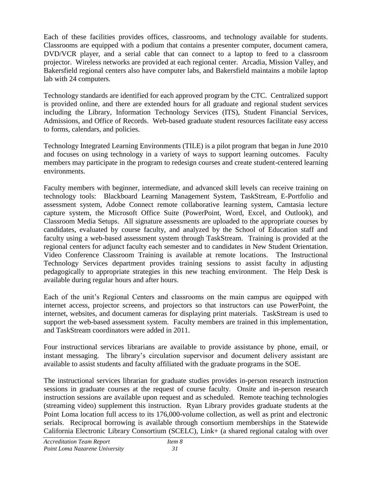Each of these facilities provides offices, classrooms, and technology available for students. Classrooms are equipped with a podium that contains a presenter computer, document camera, DVD/VCR player, and a serial cable that can connect to a laptop to feed to a classroom projector. Wireless networks are provided at each regional center. Arcadia, Mission Valley, and Bakersfield regional centers also have computer labs, and Bakersfield maintains a mobile laptop lab with 24 computers.

Technology standards are identified for each approved program by the CTC. Centralized support is provided online, and there are extended hours for all graduate and regional student services including the Library, Information Technology Services (ITS), Student Financial Services, Admissions, and Office of Records. Web-based graduate student resources facilitate easy access to forms, calendars, and policies.

Technology Integrated Learning Environments (TILE) is a pilot program that began in June 2010 and focuses on using technology in a variety of ways to support learning outcomes. Faculty members may participate in the program to redesign courses and create student-centered learning environments.

Faculty members with beginner, intermediate, and advanced skill levels can receive training on technology tools: Blackboard Learning Management System, TaskStream, E-Portfolio and assessment system, Adobe Connect remote collaborative learning system, Camtasia lecture capture system, the Microsoft Office Suite (PowerPoint, Word, Excel, and Outlook), and Classroom Media Setups. All signature assessments are uploaded to the appropriate courses by candidates, evaluated by course faculty, and analyzed by the School of Education staff and faculty using a web-based assessment system through TaskStream. Training is provided at the regional centers for adjunct faculty each semester and to candidates in New Student Orientation. Video Conference Classroom Training is available at remote locations. The Instructional Technology Services department provides training sessions to assist faculty in adjusting pedagogically to appropriate strategies in this new teaching environment. The Help Desk is available during regular hours and after hours.

Each of the unit's Regional Centers and classrooms on the main campus are equipped with internet access, projector screens, and projectors so that instructors can use PowerPoint, the internet, websites, and document cameras for displaying print materials. TaskStream is used to support the web-based assessment system. Faculty members are trained in this implementation, and TaskStream coordinators were added in 2011.

Four instructional services librarians are available to provide assistance by phone, email, or instant messaging. The library's circulation supervisor and document delivery assistant are available to assist students and faculty affiliated with the graduate programs in the SOE.

The instructional services librarian for graduate studies provides in-person research instruction sessions in graduate courses at the request of course faculty. Onsite and in-person research instruction sessions are available upon request and as scheduled. Remote teaching technologies (streaming video) supplement this instruction. Ryan Library provides graduate students at the Point Loma location full access to its 176,000-volume collection, as well as print and electronic serials. Reciprocal borrowing is available through consortium memberships in the Statewide California Electronic Library Consortium (SCELC), Link+ (a shared regional catalog with over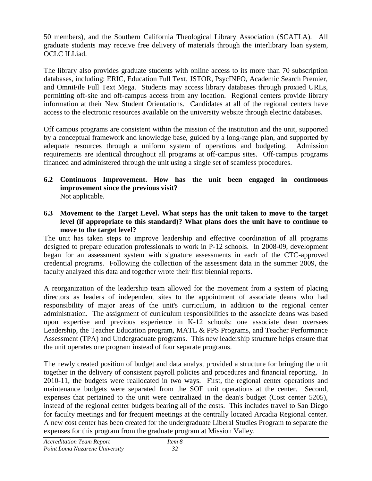50 members), and the Southern California Theological Library Association (SCATLA). All graduate students may receive free delivery of materials through the interlibrary loan system, OCLC ILLiad.

The library also provides graduate students with online access to its more than 70 subscription databases, including: ERIC, Education Full Text, JSTOR, PsycINFO, Academic Search Premier, and OmniFile Full Text Mega. Students may access library databases through proxied URLs, permitting off-site and off-campus access from any location. Regional centers provide library information at their New Student Orientations. Candidates at all of the regional centers have access to the electronic resources available on the university website through electric databases.

Off campus programs are consistent within the mission of the institution and the unit, supported by a conceptual framework and knowledge base, guided by a long-range plan, and supported by adequate resources through a uniform system of operations and budgeting. Admission requirements are identical throughout all programs at off-campus sites. Off-campus programs financed and administered through the unit using a single set of seamless procedures.

- **6.2 Continuous Improvement. How has the unit been engaged in continuous improvement since the previous visit?**  Not applicable.
- **6.3 Movement to the Target Level. What steps has the unit taken to move to the target level (if appropriate to this standard)? What plans does the unit have to continue to move to the target level?**

The unit has taken steps to improve leadership and effective coordination of all programs designed to prepare education professionals to work in P-12 schools. In 2008-09, development began for an assessment system with signature assessments in each of the CTC-approved credential programs. Following the collection of the assessment data in the summer 2009, the faculty analyzed this data and together wrote their first biennial reports.

A reorganization of the leadership team allowed for the movement from a system of placing directors as leaders of independent sites to the appointment of associate deans who had responsibility of major areas of the unit's curriculum, in addition to the regional center administration. The assignment of curriculum responsibilities to the associate deans was based upon expertise and previous experience in K-12 schools: one associate dean oversees Leadership, the Teacher Education program, MATL & PPS Programs, and Teacher Performance Assessment (TPA) and Undergraduate programs. This new leadership structure helps ensure that the unit operates one program instead of four separate programs.

The newly created position of budget and data analyst provided a structure for bringing the unit together in the delivery of consistent payroll policies and procedures and financial reporting. In 2010-11, the budgets were reallocated in two ways. First, the regional center operations and maintenance budgets were separated from the SOE unit operations at the center. Second, expenses that pertained to the unit were centralized in the dean's budget (Cost center 5205), instead of the regional center budgets bearing all of the costs. This includes travel to San Diego for faculty meetings and for frequent meetings at the centrally located Arcadia Regional center. A new cost center has been created for the undergraduate Liberal Studies Program to separate the expenses for this program from the graduate program at Mission Valley.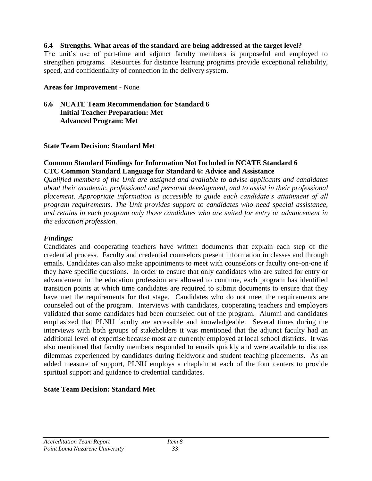#### **6.4 Strengths. What areas of the standard are being addressed at the target level?**

The unit's use of part-time and adjunct faculty members is purposeful and employed to strengthen programs. Resources for distance learning programs provide exceptional reliability, speed, and confidentiality of connection in the delivery system.

#### **Areas for Improvement -** None

#### **6.6 NCATE Team Recommendation for Standard 6 Initial Teacher Preparation: Met Advanced Program: Met**

#### **State Team Decision: Standard Met**

#### **Common Standard Findings for Information Not Included in NCATE Standard 6 CTC Common Standard Language for Standard 6: Advice and Assistance**

*Qualified members of the Unit are assigned and available to advise applicants and candidates about their academic, professional and personal development, and to assist in their professional placement. Appropriate information is accessible to guide each candidate's attainment of all program requirements. The Unit provides support to candidates who need special assistance, and retains in each program only those candidates who are suited for entry or advancement in the education profession.*

#### *Findings:*

Candidates and cooperating teachers have written documents that explain each step of the credential process. Faculty and credential counselors present information in classes and through emails. Candidates can also make appointments to meet with counselors or faculty one-on-one if they have specific questions. In order to ensure that only candidates who are suited for entry or advancement in the education profession are allowed to continue, each program has identified transition points at which time candidates are required to submit documents to ensure that they have met the requirements for that stage. Candidates who do not meet the requirements are counseled out of the program. Interviews with candidates, cooperating teachers and employers validated that some candidates had been counseled out of the program. Alumni and candidates emphasized that PLNU faculty are accessible and knowledgeable. Several times during the interviews with both groups of stakeholders it was mentioned that the adjunct faculty had an additional level of expertise because most are currently employed at local school districts. It was also mentioned that faculty members responded to emails quickly and were available to discuss dilemmas experienced by candidates during fieldwork and student teaching placements. As an added measure of support, PLNU employs a chaplain at each of the four centers to provide spiritual support and guidance to credential candidates.

## **State Team Decision: Standard Met**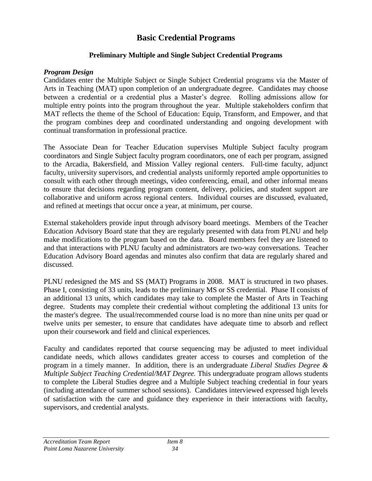# **Basic Credential Programs**

## **Preliminary Multiple and Single Subject Credential Programs**

#### *Program Design*

Candidates enter the Multiple Subject or Single Subject Credential programs via the Master of Arts in Teaching (MAT) upon completion of an undergraduate degree. Candidates may choose between a credential or a credential plus a Master's degree. Rolling admissions allow for multiple entry points into the program throughout the year. Multiple stakeholders confirm that MAT reflects the theme of the School of Education: Equip, Transform, and Empower, and that the program combines deep and coordinated understanding and ongoing development with continual transformation in professional practice.

The Associate Dean for Teacher Education supervises Multiple Subject faculty program coordinators and Single Subject faculty program coordinators, one of each per program, assigned to the Arcadia, Bakersfield, and Mission Valley regional centers. Full-time faculty, adjunct faculty, university supervisors, and credential analysts uniformly reported ample opportunities to consult with each other through meetings, video conferencing, email, and other informal means to ensure that decisions regarding program content, delivery, policies, and student support are collaborative and uniform across regional centers. Individual courses are discussed, evaluated, and refined at meetings that occur once a year, at minimum, per course.

External stakeholders provide input through advisory board meetings. Members of the Teacher Education Advisory Board state that they are regularly presented with data from PLNU and help make modifications to the program based on the data. Board members feel they are listened to and that interactions with PLNU faculty and administrators are two-way conversations. Teacher Education Advisory Board agendas and minutes also confirm that data are regularly shared and discussed.

PLNU redesigned the MS and SS (MAT) Programs in 2008. MAT is structured in two phases. Phase I, consisting of 33 units, leads to the preliminary MS or SS credential. Phase II consists of an additional 13 units, which candidates may take to complete the Master of Arts in Teaching degree. Students may complete their credential without completing the additional 13 units for the master's degree. The usual/recommended course load is no more than nine units per quad or twelve units per semester, to ensure that candidates have adequate time to absorb and reflect upon their coursework and field and clinical experiences.

Faculty and candidates reported that course sequencing may be adjusted to meet individual candidate needs, which allows candidates greater access to courses and completion of the program in a timely manner. In addition, there is an undergraduate *Liberal Studies Degree & Multiple Subject Teaching Credential/MAT Degree.* This undergraduate program allows students to complete the Liberal Studies degree and a Multiple Subject teaching credential in four years (including attendance of summer school sessions). Candidates interviewed expressed high levels of satisfaction with the care and guidance they experience in their interactions with faculty, supervisors, and credential analysts.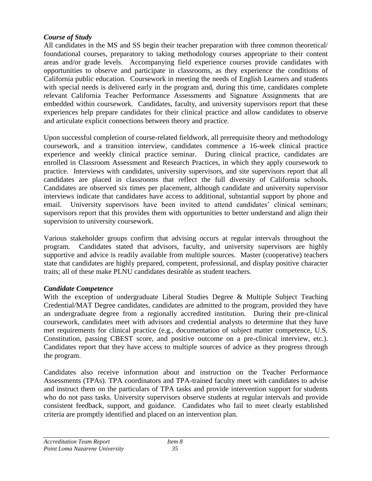## *Course of Study*

All candidates in the MS and SS begin their teacher preparation with three common theoretical/ foundational courses, preparatory to taking methodology courses appropriate to their content areas and/or grade levels. Accompanying field experience courses provide candidates with opportunities to observe and participate in classrooms, as they experience the conditions of California public education. Coursework in meeting the needs of English Learners and students with special needs is delivered early in the program and, during this time, candidates complete relevant California Teacher Performance Assessments and Signature Assignments that are embedded within coursework. Candidates, faculty, and university supervisors report that these experiences help prepare candidates for their clinical practice and allow candidates to observe and articulate explicit connections between theory and practice.

Upon successful completion of course-related fieldwork, all prerequisite theory and methodology coursework, and a transition interview, candidates commence a 16-week clinical practice experience and weekly clinical practice seminar. During clinical practice, candidates are enrolled in Classroom Assessment and Research Practices, in which they apply coursework to practice. Interviews with candidates, university supervisors, and site supervisors report that all candidates are placed in classrooms that reflect the full diversity of California schools. Candidates are observed six times per placement, although candidate and university supervisor interviews indicate that candidates have access to additional, substantial support by phone and email. University supervisors have been invited to attend candidates' clinical seminars; supervisors report that this provides them with opportunities to better understand and align their supervision to university coursework.

Various stakeholder groups confirm that advising occurs at regular intervals throughout the program. Candidates stated that advisors, faculty, and university supervisors are highly supportive and advice is readily available from multiple sources. Master (cooperative) teachers state that candidates are highly prepared, competent, professional, and display positive character traits; all of these make PLNU candidates desirable as student teachers.

## *Candidate Competence*

With the exception of undergraduate Liberal Studies Degree & Multiple Subject Teaching Credential/MAT Degree candidates, candidates are admitted to the program, provided they have an undergraduate degree from a regionally accredited institution. During their pre-clinical coursework, candidates meet with advisors and credential analysts to determine that they have met requirements for clinical practice (e.g., documentation of subject matter competence, U.S. Constitution, passing CBEST score, and positive outcome on a pre-clinical interview, etc.). Candidates report that they have access to multiple sources of advice as they progress through the program.

Candidates also receive information about and instruction on the Teacher Performance Assessments (TPAs). TPA coordinators and TPA-trained faculty meet with candidates to advise and instruct them on the particulars of TPA tasks and provide intervention support for students who do not pass tasks. University supervisors observe students at regular intervals and provide consistent feedback, support, and guidance. Candidates who fail to meet clearly established criteria are promptly identified and placed on an intervention plan.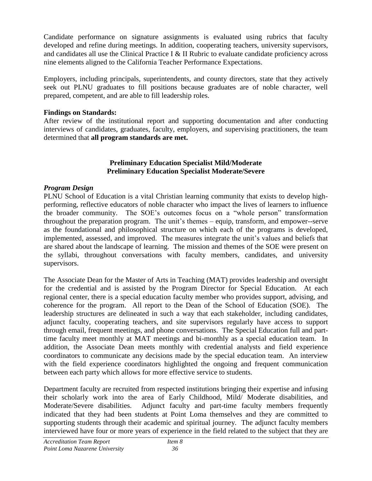Candidate performance on signature assignments is evaluated using rubrics that faculty developed and refine during meetings. In addition, cooperating teachers, university supervisors, and candidates all use the Clinical Practice I & II Rubric to evaluate candidate proficiency across nine elements aligned to the California Teacher Performance Expectations.

Employers, including principals, superintendents, and county directors, state that they actively seek out PLNU graduates to fill positions because graduates are of noble character, well prepared, competent, and are able to fill leadership roles.

#### **Findings on Standards:**

After review of the institutional report and supporting documentation and after conducting interviews of candidates, graduates, faculty, employers, and supervising practitioners, the team determined that **all program standards are met.**

#### **Preliminary Education Specialist Mild/Moderate Preliminary Education Specialist Moderate/Severe**

## *Program Design*

PLNU School of Education is a vital Christian learning community that exists to develop highperforming, reflective educators of noble character who impact the lives of learners to influence the broader community. The SOE's outcomes focus on a "whole person" transformation throughout the preparation program. The unit's themes – equip, transform, and empower--serve as the foundational and philosophical structure on which each of the programs is developed, implemented, assessed, and improved. The measures integrate the unit's values and beliefs that are shared about the landscape of learning. The mission and themes of the SOE were present on the syllabi, throughout conversations with faculty members, candidates, and university supervisors.

The Associate Dean for the Master of Arts in Teaching (MAT) provides leadership and oversight for the credential and is assisted by the Program Director for Special Education. At each regional center, there is a special education faculty member who provides support, advising, and coherence for the program. All report to the Dean of the School of Education (SOE). The leadership structures are delineated in such a way that each stakeholder, including candidates, adjunct faculty, cooperating teachers, and site supervisors regularly have access to support through email, frequent meetings, and phone conversations. The Special Education full and parttime faculty meet monthly at MAT meetings and bi-monthly as a special education team. In addition, the Associate Dean meets monthly with credential analysts and field experience coordinators to communicate any decisions made by the special education team. An interview with the field experience coordinators highlighted the ongoing and frequent communication between each party which allows for more effective service to students.

Department faculty are recruited from respected institutions bringing their expertise and infusing their scholarly work into the area of Early Childhood, Mild/ Moderate disabilities, and Moderate/Severe disabilities. Adjunct faculty and part-time faculty members frequently indicated that they had been students at Point Loma themselves and they are committed to supporting students through their academic and spiritual journey. The adjunct faculty members interviewed have four or more years of experience in the field related to the subject that they are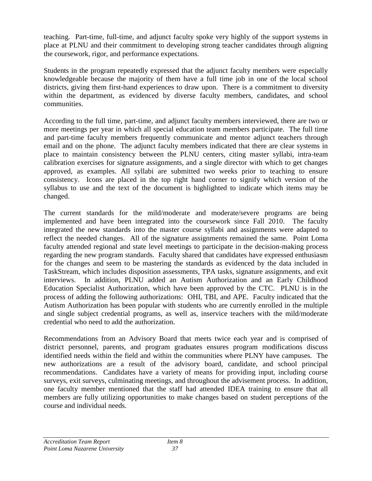teaching. Part-time, full-time, and adjunct faculty spoke very highly of the support systems in place at PLNU and their commitment to developing strong teacher candidates through aligning the coursework, rigor, and performance expectations.

Students in the program repeatedly expressed that the adjunct faculty members were especially knowledgeable because the majority of them have a full time job in one of the local school districts, giving them first-hand experiences to draw upon. There is a commitment to diversity within the department, as evidenced by diverse faculty members, candidates, and school communities.

According to the full time, part-time, and adjunct faculty members interviewed, there are two or more meetings per year in which all special education team members participate. The full time and part-time faculty members frequently communicate and mentor adjunct teachers through email and on the phone. The adjunct faculty members indicated that there are clear systems in place to maintain consistency between the PLNU centers, citing master syllabi, intra-team calibration exercises for signature assignments, and a single director with which to get changes approved, as examples. All syllabi are submitted two weeks prior to teaching to ensure consistency. Icons are placed in the top right hand corner to signify which version of the syllabus to use and the text of the document is highlighted to indicate which items may be changed.

The current standards for the mild/moderate and moderate/severe programs are being implemented and have been integrated into the coursework since Fall 2010. The faculty integrated the new standards into the master course syllabi and assignments were adapted to reflect the needed changes. All of the signature assignments remained the same. Point Loma faculty attended regional and state level meetings to participate in the decision-making process regarding the new program standards. Faculty shared that candidates have expressed enthusiasm for the changes and seem to be mastering the standards as evidenced by the data included in TaskStream, which includes disposition assessments, TPA tasks, signature assignments, and exit interviews. In addition, PLNU added an Autism Authorization and an Early Childhood Education Specialist Authorization, which have been approved by the CTC. PLNU is in the process of adding the following authorizations: OHI, TBI, and APE. Faculty indicated that the Autism Authorization has been popular with students who are currently enrolled in the multiple and single subject credential programs, as well as, inservice teachers with the mild/moderate credential who need to add the authorization.

Recommendations from an Advisory Board that meets twice each year and is comprised of district personnel, parents, and program graduates ensures program modifications discuss identified needs within the field and within the communities where PLNY have campuses. The new authorizations are a result of the advisory board, candidate, and school principal recommendations. Candidates have a variety of means for providing input, including course surveys, exit surveys, culminating meetings, and throughout the advisement process. In addition, one faculty member mentioned that the staff had attended IDEA training to ensure that all members are fully utilizing opportunities to make changes based on student perceptions of the course and individual needs.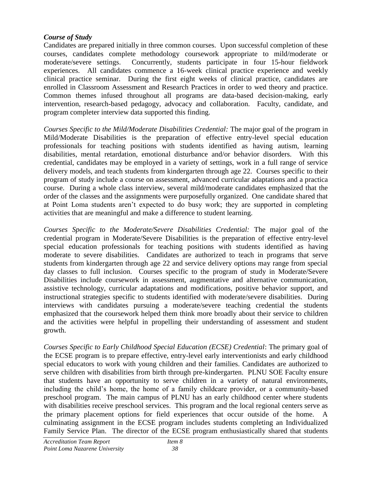#### *Course of Study*

Candidates are prepared initially in three common courses. Upon successful completion of these courses, candidates complete methodology coursework appropriate to mild/moderate or moderate/severe settings. Concurrently, students participate in four 15-hour fieldwork experiences. All candidates commence a 16-week clinical practice experience and weekly clinical practice seminar. During the first eight weeks of clinical practice, candidates are enrolled in Classroom Assessment and Research Practices in order to wed theory and practice. Common themes infused throughout all programs are data-based decision-making, early intervention, research-based pedagogy, advocacy and collaboration. Faculty, candidate, and program completer interview data supported this finding.

*Courses Specific to the Mild/Moderate Disabilities Credential:* The major goal of the program in Mild/Moderate Disabilities is the preparation of effective entry-level special education professionals for teaching positions with students identified as having autism, learning disabilities, mental retardation, emotional disturbance and/or behavior disorders. With this credential, candidates may be employed in a variety of settings, work in a full range of service delivery models, and teach students from kindergarten through age 22. Courses specific to their program of study include a course on assessment, advanced curricular adaptations and a practica course. During a whole class interview, several mild/moderate candidates emphasized that the order of the classes and the assignments were purposefully organized. One candidate shared that at Point Loma students aren't expected to do busy work; they are supported in completing activities that are meaningful and make a difference to student learning.

*Courses Specific to the Moderate/Severe Disabilities Credential:* The major goal of the credential program in Moderate/Severe Disabilities is the preparation of effective entry-level special education professionals for teaching positions with students identified as having moderate to severe disabilities. Candidates are authorized to teach in programs that serve students from kindergarten through age 22 and service delivery options may range from special day classes to full inclusion. Courses specific to the program of study in Moderate/Severe Disabilities include coursework in assessment, augmentative and alternative communication, assistive technology, curricular adaptations and modifications, positive behavior support, and instructional strategies specific to students identified with moderate/severe disabilities. During interviews with candidates pursuing a moderate/severe teaching credential the students emphasized that the coursework helped them think more broadly about their service to children and the activities were helpful in propelling their understanding of assessment and student growth.

*Courses Specific to Early Childhood Special Education (ECSE) Credential*: The primary goal of the ECSE program is to prepare effective, entry-level early interventionists and early childhood special educators to work with young children and their families. Candidates are authorized to serve children with disabilities from birth through pre-kindergarten. PLNU SOE Faculty ensure that students have an opportunity to serve children in a variety of natural environments, including the child's home, the home of a family childcare provider, or a community-based preschool program. The main campus of PLNU has an early childhood center where students with disabilities receive preschool services. This program and the local regional centers serve as the primary placement options for field experiences that occur outside of the home. A culminating assignment in the ECSE program includes students completing an Individualized Family Service Plan. The director of the ECSE program enthusiastically shared that students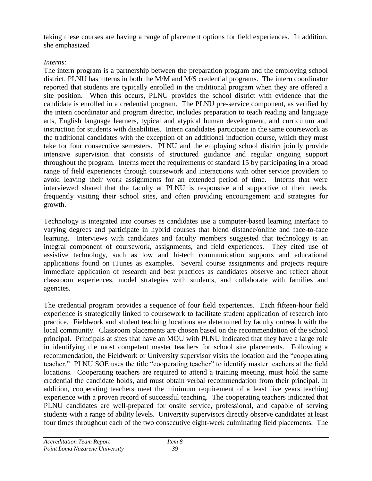taking these courses are having a range of placement options for field experiences. In addition, she emphasized

## *Interns:*

The intern program is a partnership between the preparation program and the employing school district. PLNU has interns in both the M/M and M/S credential programs. The intern coordinator reported that students are typically enrolled in the traditional program when they are offered a site position. When this occurs, PLNU provides the school district with evidence that the candidate is enrolled in a credential program. The PLNU pre-service component, as verified by the intern coordinator and program director, includes preparation to teach reading and language arts, English language learners, typical and atypical human development, and curriculum and instruction for students with disabilities. Intern candidates participate in the same coursework as the traditional candidates with the exception of an additional induction course, which they must take for four consecutive semesters. PLNU and the employing school district jointly provide intensive supervision that consists of structured guidance and regular ongoing support throughout the program. Interns meet the requirements of standard 15 by participating in a broad range of field experiences through coursework and interactions with other service providers to avoid leaving their work assignments for an extended period of time. Interns that were interviewed shared that the faculty at PLNU is responsive and supportive of their needs, frequently visiting their school sites, and often providing encouragement and strategies for growth.

Technology is integrated into courses as candidates use a computer-based learning interface to varying degrees and participate in hybrid courses that blend distance/online and face-to-face learning. Interviews with candidates and faculty members suggested that technology is an integral component of coursework, assignments, and field experiences. They cited use of assistive technology, such as low and hi-tech communication supports and educational applications found on iTunes as examples. Several course assignments and projects require immediate application of research and best practices as candidates observe and reflect about classroom experiences, model strategies with students, and collaborate with families and agencies.

The credential program provides a sequence of four field experiences. Each fifteen-hour field experience is strategically linked to coursework to facilitate student application of research into practice. Fieldwork and student teaching locations are determined by faculty outreach with the local community. Classroom placements are chosen based on the recommendation of the school principal. Principals at sites that have an MOU with PLNU indicated that they have a large role in identifying the most competent master teachers for school site placements. Following a recommendation, the Fieldwork or University supervisor visits the location and the "cooperating" teacher." PLNU SOE uses the title "cooperating teacher" to identify master teachers at the field locations. Cooperating teachers are required to attend a training meeting, must hold the same credential the candidate holds, and must obtain verbal recommendation from their principal. In addition, cooperating teachers meet the minimum requirement of a least five years teaching experience with a proven record of successful teaching. The cooperating teachers indicated that PLNU candidates are well-prepared for onsite service, professional, and capable of serving students with a range of ability levels. University supervisors directly observe candidates at least four times throughout each of the two consecutive eight-week culminating field placements. The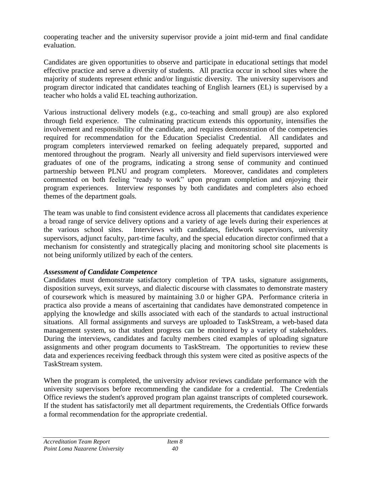cooperating teacher and the university supervisor provide a joint mid-term and final candidate evaluation.

Candidates are given opportunities to observe and participate in educational settings that model effective practice and serve a diversity of students. All practica occur in school sites where the majority of students represent ethnic and/or linguistic diversity. The university supervisors and program director indicated that candidates teaching of English learners (EL) is supervised by a teacher who holds a valid EL teaching authorization.

Various instructional delivery models (e.g., co-teaching and small group) are also explored through field experience. The culminating practicum extends this opportunity, intensifies the involvement and responsibility of the candidate, and requires demonstration of the competencies required for recommendation for the Education Specialist Credential. All candidates and program completers interviewed remarked on feeling adequately prepared, supported and mentored throughout the program. Nearly all university and field supervisors interviewed were graduates of one of the programs, indicating a strong sense of community and continued partnership between PLNU and program completers. Moreover, candidates and completers commented on both feeling "ready to work" upon program completion and enjoying their program experiences. Interview responses by both candidates and completers also echoed themes of the department goals.

The team was unable to find consistent evidence across all placements that candidates experience a broad range of service delivery options and a variety of age levels during their experiences at the various school sites. Interviews with candidates, fieldwork supervisors, university supervisors, adjunct faculty, part-time faculty, and the special education director confirmed that a mechanism for consistently and strategically placing and monitoring school site placements is not being uniformly utilized by each of the centers.

## *Assessment of Candidate Competence*

Candidates must demonstrate satisfactory completion of TPA tasks, signature assignments, disposition surveys, exit surveys, and dialectic discourse with classmates to demonstrate mastery of coursework which is measured by maintaining 3.0 or higher GPA. Performance criteria in practica also provide a means of ascertaining that candidates have demonstrated competence in applying the knowledge and skills associated with each of the standards to actual instructional situations. All formal assignments and surveys are uploaded to TaskStream, a web-based data management system, so that student progress can be monitored by a variety of stakeholders. During the interviews, candidates and faculty members cited examples of uploading signature assignments and other program documents to TaskStream. The opportunities to review these data and experiences receiving feedback through this system were cited as positive aspects of the TaskStream system.

When the program is completed, the university advisor reviews candidate performance with the university supervisors before recommending the candidate for a credential. The Credentials Office reviews the student's approved program plan against transcripts of completed coursework. If the student has satisfactorily met all department requirements, the Credentials Office forwards a formal recommendation for the appropriate credential.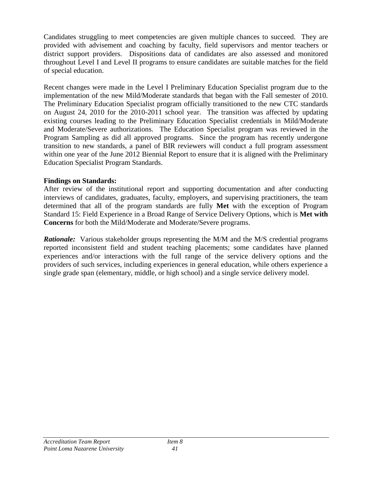Candidates struggling to meet competencies are given multiple chances to succeed. They are provided with advisement and coaching by faculty, field supervisors and mentor teachers or district support providers. Dispositions data of candidates are also assessed and monitored throughout Level I and Level II programs to ensure candidates are suitable matches for the field of special education.

Recent changes were made in the Level I Preliminary Education Specialist program due to the implementation of the new Mild/Moderate standards that began with the Fall semester of 2010. The Preliminary Education Specialist program officially transitioned to the new CTC standards on August 24, 2010 for the 2010-2011 school year. The transition was affected by updating existing courses leading to the Preliminary Education Specialist credentials in Mild/Moderate and Moderate/Severe authorizations. The Education Specialist program was reviewed in the Program Sampling as did all approved programs. Since the program has recently undergone transition to new standards, a panel of BIR reviewers will conduct a full program assessment within one year of the June 2012 Biennial Report to ensure that it is aligned with the Preliminary Education Specialist Program Standards.

#### **Findings on Standards:**

After review of the institutional report and supporting documentation and after conducting interviews of candidates, graduates, faculty, employers, and supervising practitioners, the team determined that all of the program standards are fully **Met** with the exception of Program Standard 15: Field Experience in a Broad Range of Service Delivery Options, which is **Met with Concerns** for both the Mild/Moderate and Moderate/Severe programs.

*Rationale:* Various stakeholder groups representing the M/M and the M/S credential programs reported inconsistent field and student teaching placements; some candidates have planned experiences and/or interactions with the full range of the service delivery options and the providers of such services, including experiences in general education, while others experience a single grade span (elementary, middle, or high school) and a single service delivery model.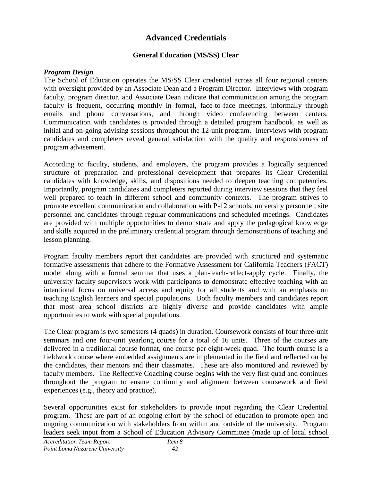# **Advanced Credentials**

## **General Education (MS/SS) Clear**

## *Program Design*

The School of Education operates the MS/SS Clear credential across all four regional centers with oversight provided by an Associate Dean and a Program Director. Interviews with program faculty, program director, and Associate Dean indicate that communication among the program faculty is frequent, occurring monthly in formal, face-to-face meetings, informally through emails and phone conversations, and through video conferencing between centers. Communication with candidates is provided through a detailed program handbook, as well as initial and on-going advising sessions throughout the 12-unit program. Interviews with program candidates and completers reveal general satisfaction with the quality and responsiveness of program advisement.

According to faculty, students, and employers, the program provides a logically sequenced structure of preparation and professional development that prepares its Clear Credential candidates with knowledge, skills, and dispositions needed to deepen teaching competencies. Importantly, program candidates and completers reported during interview sessions that they feel well prepared to teach in different school and community contexts. The program strives to promote excellent communication and collaboration with P-12 schools, university personnel, site personnel and candidates through regular communications and scheduled meetings. Candidates are provided with multiple opportunities to demonstrate and apply the pedagogical knowledge and skills acquired in the preliminary credential program through demonstrations of teaching and lesson planning.

Program faculty members report that candidates are provided with structured and systematic formative assessments that adhere to the Formative Assessment for California Teachers (FACT) model along with a formal seminar that uses a plan-teach-reflect-apply cycle. Finally, the university faculty supervisors work with participants to demonstrate effective teaching with an intentional focus on universal access and equity for all students and with an emphasis on teaching English learners and special populations. Both faculty members and candidates report that most area school districts are highly diverse and provide candidates with ample opportunities to work with special populations.

The Clear program is two semesters (4 quads) in duration. Coursework consists of four three-unit seminars and one four-unit yearlong course for a total of 16 units. Three of the courses are delivered in a traditional course format, one course per eight-week quad. The fourth course is a fieldwork course where embedded assignments are implemented in the field and reflected on by the candidates, their mentors and their classmates. These are also monitored and reviewed by faculty members. The Reflective Coaching course begins with the very first quad and continues throughout the program to ensure continuity and alignment between coursework and field experiences (e.g., theory and practice).

Several opportunities exist for stakeholders to provide input regarding the Clear Credential program. These are part of an ongoing effort by the school of education to promote open and ongoing communication with stakeholders from within and outside of the university. Program leaders seek input from a School of Education Advisory Committee (made up of local school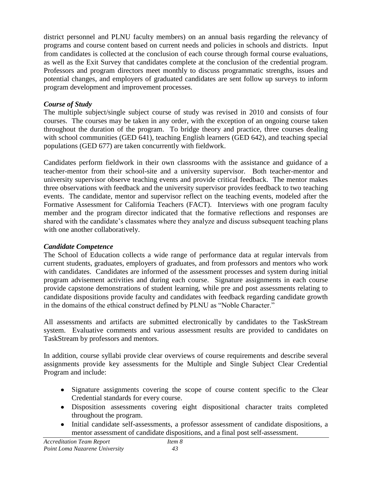district personnel and PLNU faculty members) on an annual basis regarding the relevancy of programs and course content based on current needs and policies in schools and districts. Input from candidates is collected at the conclusion of each course through formal course evaluations, as well as the Exit Survey that candidates complete at the conclusion of the credential program. Professors and program directors meet monthly to discuss programmatic strengths, issues and potential changes, and employers of graduated candidates are sent follow up surveys to inform program development and improvement processes.

## *Course of Study*

The multiple subject/single subject course of study was revised in 2010 and consists of four courses. The courses may be taken in any order, with the exception of an ongoing course taken throughout the duration of the program. To bridge theory and practice, three courses dealing with school communities (GED 641), teaching English learners (GED 642), and teaching special populations (GED 677) are taken concurrently with fieldwork.

Candidates perform fieldwork in their own classrooms with the assistance and guidance of a teacher-mentor from their school-site and a university supervisor. Both teacher-mentor and university supervisor observe teaching events and provide critical feedback. The mentor makes three observations with feedback and the university supervisor provides feedback to two teaching events. The candidate, mentor and supervisor reflect on the teaching events, modeled after the Formative Assessment for California Teachers (FACT). Interviews with one program faculty member and the program director indicated that the formative reflections and responses are shared with the candidate's classmates where they analyze and discuss subsequent teaching plans with one another collaboratively.

## *Candidate Competence*

The School of Education collects a wide range of performance data at regular intervals from current students, graduates, employers of graduates, and from professors and mentors who work with candidates. Candidates are informed of the assessment processes and system during initial program advisement activities and during each course. Signature assignments in each course provide capstone demonstrations of student learning, while pre and post assessments relating to candidate dispositions provide faculty and candidates with feedback regarding candidate growth in the domains of the ethical construct defined by PLNU as "Noble Character."

All assessments and artifacts are submitted electronically by candidates to the TaskStream system. Evaluative comments and various assessment results are provided to candidates on TaskStream by professors and mentors.

In addition, course syllabi provide clear overviews of course requirements and describe several assignments provide key assessments for the Multiple and Single Subject Clear Credential Program and include:

- Signature assignments covering the scope of course content specific to the Clear Credential standards for every course.
- Disposition assessments covering eight dispositional character traits completed throughout the program.
- Initial candidate self-assessments, a professor assessment of candidate dispositions, a mentor assessment of candidate dispositions, and a final post self-assessment.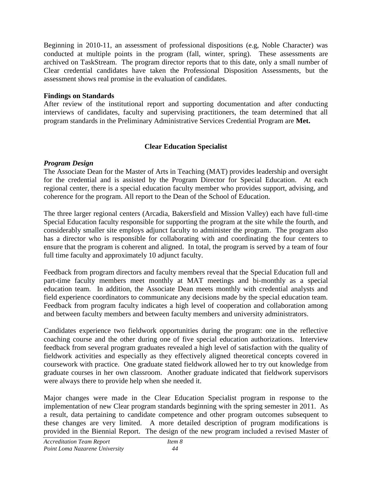Beginning in 2010-11, an assessment of professional dispositions (e.g, Noble Character) was conducted at multiple points in the program (fall, winter, spring). These assessments are archived on TaskStream. The program director reports that to this date, only a small number of Clear credential candidates have taken the Professional Disposition Assessments, but the assessment shows real promise in the evaluation of candidates.

## **Findings on Standards**

After review of the institutional report and supporting documentation and after conducting interviews of candidates, faculty and supervising practitioners, the team determined that all program standards in the Preliminary Administrative Services Credential Program are **Met.**

## **Clear Education Specialist**

## *Program Design*

The Associate Dean for the Master of Arts in Teaching (MAT) provides leadership and oversight for the credential and is assisted by the Program Director for Special Education. At each regional center, there is a special education faculty member who provides support, advising, and coherence for the program. All report to the Dean of the School of Education.

The three larger regional centers (Arcadia, Bakersfield and Mission Valley) each have full-time Special Education faculty responsible for supporting the program at the site while the fourth, and considerably smaller site employs adjunct faculty to administer the program. The program also has a director who is responsible for collaborating with and coordinating the four centers to ensure that the program is coherent and aligned. In total, the program is served by a team of four full time faculty and approximately 10 adjunct faculty.

Feedback from program directors and faculty members reveal that the Special Education full and part-time faculty members meet monthly at MAT meetings and bi-monthly as a special education team. In addition, the Associate Dean meets monthly with credential analysts and field experience coordinators to communicate any decisions made by the special education team. Feedback from program faculty indicates a high level of cooperation and collaboration among and between faculty members and between faculty members and university administrators.

Candidates experience two fieldwork opportunities during the program: one in the reflective coaching course and the other during one of five special education authorizations. Interview feedback from several program graduates revealed a high level of satisfaction with the quality of fieldwork activities and especially as they effectively aligned theoretical concepts covered in coursework with practice. One graduate stated fieldwork allowed her to try out knowledge from graduate courses in her own classroom. Another graduate indicated that fieldwork supervisors were always there to provide help when she needed it.

Major changes were made in the Clear Education Specialist program in response to the implementation of new Clear program standards beginning with the spring semester in 2011. As a result, data pertaining to candidate competence and other program outcomes subsequent to these changes are very limited. A more detailed description of program modifications is provided in the Biennial Report. The design of the new program included a revised Master of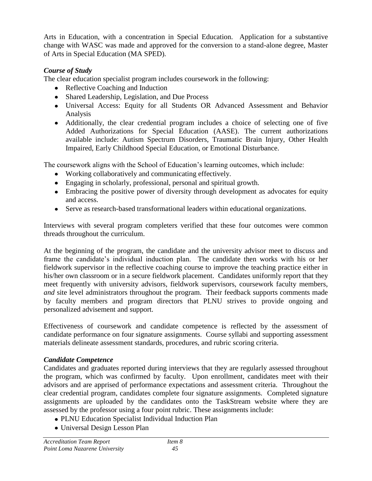Arts in Education, with a concentration in Special Education. Application for a substantive change with WASC was made and approved for the conversion to a stand-alone degree, Master of Arts in Special Education (MA SPED).

## *Course of Study*

The clear education specialist program includes coursework in the following:

- Reflective Coaching and Induction
- Shared Leadership, Legislation, and Due Process
- Universal Access: Equity for all Students OR Advanced Assessment and Behavior Analysis
- Additionally, the clear credential program includes a choice of selecting one of five Added Authorizations for Special Education (AASE). The current authorizations available include: Autism Spectrum Disorders, Traumatic Brain Injury, Other Health Impaired, Early Childhood Special Education, or Emotional Disturbance.

The coursework aligns with the School of Education's learning outcomes, which include:

- Working collaboratively and communicating effectively.
- Engaging in scholarly, professional, personal and spiritual growth.
- Embracing the positive power of diversity through development as advocates for equity and access.
- Serve as research-based transformational leaders within educational organizations.

Interviews with several program completers verified that these four outcomes were common threads throughout the curriculum.

At the beginning of the program, the candidate and the university advisor meet to discuss and frame the candidate's individual induction plan. The candidate then works with his or her fieldwork supervisor in the reflective coaching course to improve the teaching practice either in his/her own classroom or in a secure fieldwork placement. Candidates uniformly report that they meet frequently with university advisors, fieldwork supervisors, coursework faculty members, *and* site level administrators throughout the program. Their feedback supports comments made by faculty members and program directors that PLNU strives to provide ongoing and personalized advisement and support.

Effectiveness of coursework and candidate competence is reflected by the assessment of candidate performance on four signature assignments. Course syllabi and supporting assessment materials delineate assessment standards, procedures, and rubric scoring criteria.

## *Candidate Competence*

Candidates and graduates reported during interviews that they are regularly assessed throughout the program, which was confirmed by faculty. Upon enrollment, candidates meet with their advisors and are apprised of performance expectations and assessment criteria. Throughout the clear credential program, candidates complete four signature assignments. Completed signature assignments are uploaded by the candidates onto the TaskStream website where they are assessed by the professor using a four point rubric. These assignments include:

- PLNU Education Specialist Individual Induction Plan
- Universal Design Lesson Plan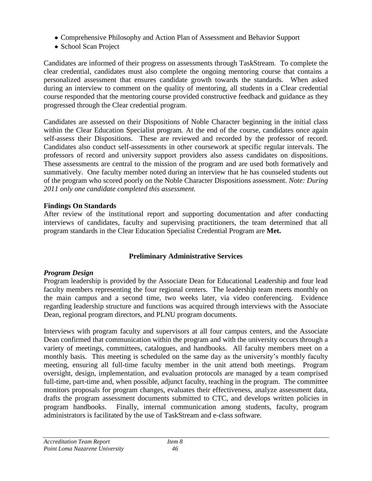- Comprehensive Philosophy and Action Plan of Assessment and Behavior Support
- School Scan Project

Candidates are informed of their progress on assessments through TaskStream. To complete the clear credential, candidates must also complete the ongoing mentoring course that contains a personalized assessment that ensures candidate growth towards the standards. When asked during an interview to comment on the quality of mentoring, all students in a Clear credential course responded that the mentoring course provided constructive feedback and guidance as they progressed through the Clear credential program.

Candidates are assessed on their Dispositions of Noble Character beginning in the initial class within the Clear Education Specialist program*.* At the end of the course, candidates once again self-assess their Dispositions. These are reviewed and recorded by the professor of record. Candidates also conduct self-assessments in other coursework at specific regular intervals. The professors of record and university support providers also assess candidates on dispositions. These assessments are central to the mission of the program and are used both formatively and summatively. One faculty member noted during an interview that he has counseled students out of the program who scored poorly on the Noble Character Dispositions assessment. *Note: During 2011 only one candidate completed this assessment.*

## **Findings On Standards**

After review of the institutional report and supporting documentation and after conducting interviews of candidates, faculty and supervising practitioners, the team determined that all program standards in the Clear Education Specialist Credential Program are **Met.**

## **Preliminary Administrative Services**

## *Program Design*

Program leadership is provided by the Associate Dean for Educational Leadership and four lead faculty members representing the four regional centers. The leadership team meets monthly on the main campus and a second time, two weeks later, via video conferencing. Evidence regarding leadership structure and functions was acquired through interviews with the Associate Dean, regional program directors, and PLNU program documents.

Interviews with program faculty and supervisors at all four campus centers, and the Associate Dean confirmed that communication within the program and with the university occurs through a variety of meetings, committees, catalogues, and handbooks. All faculty members meet on a monthly basis. This meeting is scheduled on the same day as the university's monthly faculty meeting, ensuring all full-time faculty member in the unit attend both meetings. Program oversight, design, implementation, and evaluation protocols are managed by a team comprised full-time, part-time and, when possible, adjunct faculty, teaching in the program. The committee monitors proposals for program changes, evaluates their effectiveness, analyze assessment data, drafts the program assessment documents submitted to CTC, and develops written policies in program handbooks. Finally, internal communication among students, faculty, program administrators is facilitated by the use of TaskStream and e-class software.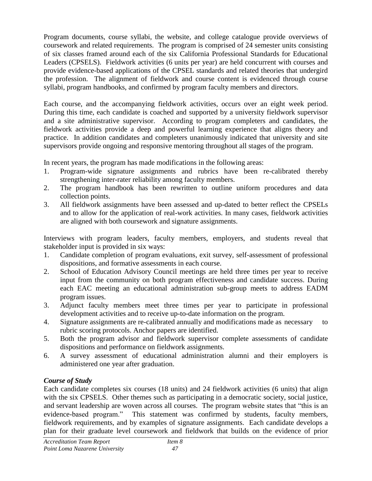Program documents, course syllabi, the website, and college catalogue provide overviews of coursework and related requirements. The program is comprised of 24 semester units consisting of six classes framed around each of the six California Professional Standards for Educational Leaders (CPSELS). Fieldwork activities (6 units per year) are held concurrent with courses and provide evidence-based applications of the CPSEL standards and related theories that undergird the profession. The alignment of fieldwork and course content is evidenced through course syllabi, program handbooks, and confirmed by program faculty members and directors.

Each course, and the accompanying fieldwork activities, occurs over an eight week period. During this time, each candidate is coached and supported by a university fieldwork supervisor and a site administrative supervisor. According to program completers and candidates, the fieldwork activities provide a deep and powerful learning experience that aligns theory and practice. In addition candidates and completers unanimously indicated that university and site supervisors provide ongoing and responsive mentoring throughout all stages of the program.

In recent years, the program has made modifications in the following areas:

- 1. Program-wide signature assignments and rubrics have been re-calibrated thereby strengthening inter-rater reliability among faculty members.
- 2. The program handbook has been rewritten to outline uniform procedures and data collection points.
- 3. All fieldwork assignments have been assessed and up-dated to better reflect the CPSELs and to allow for the application of real-work activities. In many cases, fieldwork activities are aligned with both coursework and signature assignments.

Interviews with program leaders, faculty members, employers, and students reveal that stakeholder input is provided in six ways:

- 1. Candidate completion of program evaluations, exit survey, self-assessment of professional dispositions, and formative assessments in each course.
- 2. School of Education Advisory Council meetings are held three times per year to receive input from the community on both program effectiveness and candidate success. During each EAC meeting an educational administration sub-group meets to address EADM program issues.
- 3. Adjunct faculty members meet three times per year to participate in professional development activities and to receive up-to-date information on the program.
- 4. Signature assignments are re-calibrated annually and modifications made as necessary to rubric scoring protocols. Anchor papers are identified.
- 5. Both the program advisor and fieldwork supervisor complete assessments of candidate dispositions and performance on fieldwork assignments.
- 6. A survey assessment of educational administration alumni and their employers is administered one year after graduation.

## *Course of Study*

Each candidate completes six courses (18 units) and 24 fieldwork activities (6 units) that align with the six CPSELS. Other themes such as participating in a democratic society, social justice, and servant leadership are woven across all courses. The program website states that "this is an evidence-based program." This statement was confirmed by students, faculty members, fieldwork requirements, and by examples of signature assignments. Each candidate develops a plan for their graduate level coursework and fieldwork that builds on the evidence of prior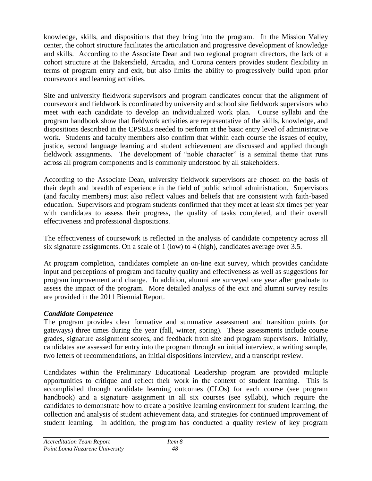knowledge, skills, and dispositions that they bring into the program. In the Mission Valley center, the cohort structure facilitates the articulation and progressive development of knowledge and skills. According to the Associate Dean and two regional program directors, the lack of a cohort structure at the Bakersfield, Arcadia, and Corona centers provides student flexibility in terms of program entry and exit, but also limits the ability to progressively build upon prior coursework and learning activities.

Site and university fieldwork supervisors and program candidates concur that the alignment of coursework and fieldwork is coordinated by university and school site fieldwork supervisors who meet with each candidate to develop an individualized work plan. Course syllabi and the program handbook show that fieldwork activities are representative of the skills, knowledge, and dispositions described in the CPSELs needed to perform at the basic entry level of administrative work. Students and faculty members also confirm that within each course the issues of equity, justice, second language learning and student achievement are discussed and applied through fieldwork assignments. The development of "noble character" is a seminal theme that runs across all program components and is commonly understood by all stakeholders.

According to the Associate Dean, university fieldwork supervisors are chosen on the basis of their depth and breadth of experience in the field of public school administration. Supervisors (and faculty members) must also reflect values and beliefs that are consistent with faith-based education. Supervisors and program students confirmed that they meet at least six times per year with candidates to assess their progress, the quality of tasks completed, and their overall effectiveness and professional dispositions.

The effectiveness of coursework is reflected in the analysis of candidate competency across all six signature assignments. On a scale of 1 (low) to 4 (high), candidates average over 3.5.

At program completion, candidates complete an on-line exit survey, which provides candidate input and perceptions of program and faculty quality and effectiveness as well as suggestions for program improvement and change. In addition, alumni are surveyed one year after graduate to assess the impact of the program. More detailed analysis of the exit and alumni survey results are provided in the 2011 Biennial Report.

## *Candidate Competence*

The program provides clear formative and summative assessment and transition points (or gateways) three times during the year (fall, winter, spring). These assessments include course grades, signature assignment scores, and feedback from site and program supervisors. Initially, candidates are assessed for entry into the program through an initial interview, a writing sample, two letters of recommendations, an initial dispositions interview, and a transcript review.

Candidates within the Preliminary Educational Leadership program are provided multiple opportunities to critique and reflect their work in the context of student learning. This is accomplished through candidate learning outcomes (CLOs) for each course (see program handbook) and a signature assignment in all six courses (see syllabi), which require the candidates to demonstrate how to create a positive learning environment for student learning, the collection and analysis of student achievement data, and strategies for continued improvement of student learning. In addition, the program has conducted a quality review of key program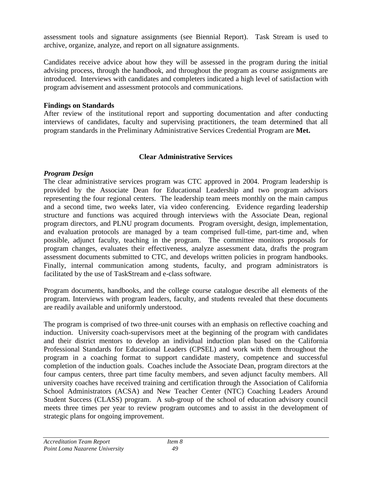assessment tools and signature assignments (see Biennial Report). Task Stream is used to archive, organize, analyze, and report on all signature assignments.

Candidates receive advice about how they will be assessed in the program during the initial advising process, through the handbook, and throughout the program as course assignments are introduced. Interviews with candidates and completers indicated a high level of satisfaction with program advisement and assessment protocols and communications.

#### **Findings on Standards**

After review of the institutional report and supporting documentation and after conducting interviews of candidates, faculty and supervising practitioners, the team determined that all program standards in the Preliminary Administrative Services Credential Program are **Met.**

## **Clear Administrative Services**

## *Program Design*

The clear administrative services program was CTC approved in 2004. Program leadership is provided by the Associate Dean for Educational Leadership and two program advisors representing the four regional centers. The leadership team meets monthly on the main campus and a second time, two weeks later, via video conferencing. Evidence regarding leadership structure and functions was acquired through interviews with the Associate Dean, regional program directors, and PLNU program documents. Program oversight, design, implementation, and evaluation protocols are managed by a team comprised full-time, part-time and, when possible, adjunct faculty, teaching in the program. The committee monitors proposals for program changes, evaluates their effectiveness, analyze assessment data, drafts the program assessment documents submitted to CTC, and develops written policies in program handbooks. Finally, internal communication among students, faculty, and program administrators is facilitated by the use of TaskStream and e-class software.

Program documents, handbooks, and the college course catalogue describe all elements of the program. Interviews with program leaders, faculty, and students revealed that these documents are readily available and uniformly understood.

The program is comprised of two three-unit courses with an emphasis on reflective coaching and induction. University coach-supervisors meet at the beginning of the program with candidates and their district mentors to develop an individual induction plan based on the California Professional Standards for Educational Leaders (CPSEL) and work with them throughout the program in a coaching format to support candidate mastery, competence and successful completion of the induction goals. Coaches include the Associate Dean, program directors at the four campus centers, three part time faculty members, and seven adjunct faculty members. All university coaches have received training and certification through the Association of California School Administrators (ACSA) and New Teacher Center (NTC) Coaching Leaders Around Student Success (CLASS) program. A sub-group of the school of education advisory council meets three times per year to review program outcomes and to assist in the development of strategic plans for ongoing improvement.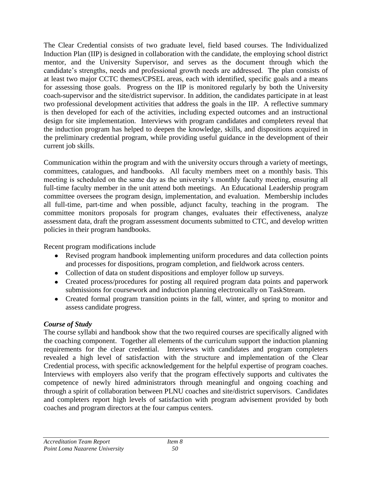The Clear Credential consists of two graduate level, field based courses. The Individualized Induction Plan (IIP) is designed in collaboration with the candidate, the employing school district mentor, and the University Supervisor, and serves as the document through which the candidate's strengths, needs and professional growth needs are addressed. The plan consists of at least two major CCTC themes/CPSEL areas, each with identified, specific goals and a means for assessing those goals. Progress on the IIP is monitored regularly by both the University coach-supervisor and the site/district supervisor. In addition, the candidates participate in at least two professional development activities that address the goals in the IIP. A reflective summary is then developed for each of the activities, including expected outcomes and an instructional design for site implementation. Interviews with program candidates and completers reveal that the induction program has helped to deepen the knowledge, skills, and dispositions acquired in the preliminary credential program, while providing useful guidance in the development of their current job skills.

Communication within the program and with the university occurs through a variety of meetings, committees, catalogues, and handbooks. All faculty members meet on a monthly basis. This meeting is scheduled on the same day as the university's monthly faculty meeting, ensuring all full-time faculty member in the unit attend both meetings. An Educational Leadership program committee oversees the program design, implementation, and evaluation. Membership includes all full-time, part-time and when possible, adjunct faculty, teaching in the program. The committee monitors proposals for program changes, evaluates their effectiveness, analyze assessment data, draft the program assessment documents submitted to CTC, and develop written policies in their program handbooks.

Recent program modifications include

- Revised program handbook implementing uniform procedures and data collection points and processes for dispositions, program completion, and fieldwork across centers.
- Collection of data on student dispositions and employer follow up surveys.
- Created process/procedures for posting all required program data points and paperwork submissions for coursework and induction planning electronically on TaskStream.
- Created formal program transition points in the fall, winter, and spring to monitor and assess candidate progress.

# *Course of Study*

The course syllabi and handbook show that the two required courses are specifically aligned with the coaching component. Together all elements of the curriculum support the induction planning requirements for the clear credential. Interviews with candidates and program completers revealed a high level of satisfaction with the structure and implementation of the Clear Credential process, with specific acknowledgement for the helpful expertise of program coaches. Interviews with employers also verify that the program effectively supports and cultivates the competence of newly hired administrators through meaningful and ongoing coaching and through a spirit of collaboration between PLNU coaches and site/district supervisors. Candidates and completers report high levels of satisfaction with program advisement provided by both coaches and program directors at the four campus centers.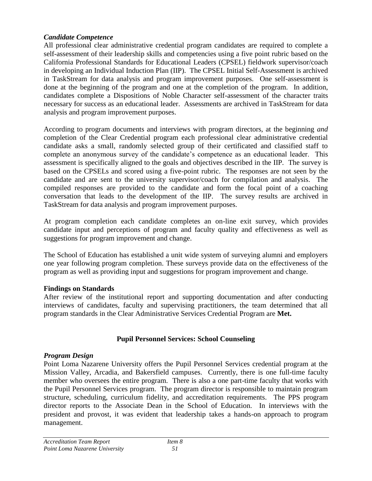## *Candidate Competence*

All professional clear administrative credential program candidates are required to complete a self-assessment of their leadership skills and competencies using a five point rubric based on the California Professional Standards for Educational Leaders (CPSEL) fieldwork supervisor/coach in developing an Individual Induction Plan (IIP). The CPSEL Initial Self-Assessment is archived in TaskStream for data analysis and program improvement purposes. One self-assessment is done at the beginning of the program and one at the completion of the program. In addition, candidates complete a Dispositions of Noble Character self-assessment of the character traits necessary for success as an educational leader. Assessments are archived in TaskStream for data analysis and program improvement purposes.

According to program documents and interviews with program directors, at the beginning *and*  completion of the Clear Credential program each professional clear administrative credential candidate asks a small, randomly selected group of their certificated and classified staff to complete an anonymous survey of the candidate's competence as an educational leader. This assessment is specifically aligned to the goals and objectives described in the IIP. The survey is based on the CPSELs and scored using a five-point rubric. The responses are not seen by the candidate and are sent to the university supervisor/coach for compilation and analysis. The compiled responses are provided to the candidate and form the focal point of a coaching conversation that leads to the development of the IIP. The survey results are archived in TaskStream for data analysis and program improvement purposes.

At program completion each candidate completes an on-line exit survey, which provides candidate input and perceptions of program and faculty quality and effectiveness as well as suggestions for program improvement and change.

The School of Education has established a unit wide system of surveying alumni and employers one year following program completion. These surveys provide data on the effectiveness of the program as well as providing input and suggestions for program improvement and change.

## **Findings on Standards**

After review of the institutional report and supporting documentation and after conducting interviews of candidates, faculty and supervising practitioners, the team determined that all program standards in the Clear Administrative Services Credential Program are **Met.**

## **Pupil Personnel Services: School Counseling**

#### *Program Design*

Point Loma Nazarene University offers the Pupil Personnel Services credential program at the Mission Valley, Arcadia, and Bakersfield campuses. Currently, there is one full-time faculty member who oversees the entire program. There is also a one part-time faculty that works with the Pupil Personnel Services program. The program director is responsible to maintain program structure, scheduling, curriculum fidelity, and accreditation requirements. The PPS program director reports to the Associate Dean in the School of Education. In interviews with the president and provost, it was evident that leadership takes a hands-on approach to program management.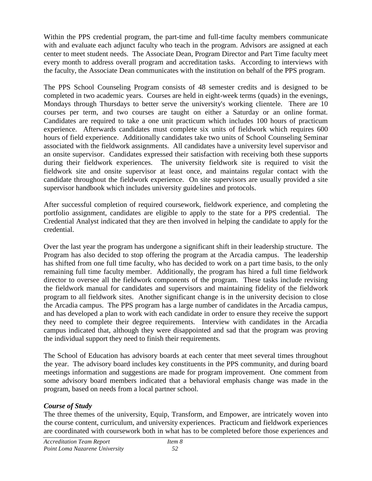Within the PPS credential program, the part-time and full-time faculty members communicate with and evaluate each adjunct faculty who teach in the program. Advisors are assigned at each center to meet student needs. The Associate Dean, Program Director and Part Time faculty meet every month to address overall program and accreditation tasks. According to interviews with the faculty, the Associate Dean communicates with the institution on behalf of the PPS program.

The PPS School Counseling Program consists of 48 semester credits and is designed to be completed in two academic years. Courses are held in eight-week terms (quads) in the evenings, Mondays through Thursdays to better serve the university's working clientele. There are 10 courses per term, and two courses are taught on either a Saturday or an online format. Candidates are required to take a one unit practicum which includes 100 hours of practicum experience. Afterwards candidates must complete six units of fieldwork which requires 600 hours of field experience. Additionally candidates take two units of School Counseling Seminar associated with the fieldwork assignments. All candidates have a university level supervisor and an onsite supervisor. Candidates expressed their satisfaction with receiving both these supports during their fieldwork experiences. The university fieldwork site is required to visit the fieldwork site and onsite supervisor at least once, and maintains regular contact with the candidate throughout the fieldwork experience. On site supervisors are usually provided a site supervisor handbook which includes university guidelines and protocols.

After successful completion of required coursework, fieldwork experience, and completing the portfolio assignment, candidates are eligible to apply to the state for a PPS credential. The Credential Analyst indicated that they are then involved in helping the candidate to apply for the credential.

Over the last year the program has undergone a significant shift in their leadership structure. The Program has also decided to stop offering the program at the Arcadia campus. The leadership has shifted from one full time faculty, who has decided to work on a part time basis, to the only remaining full time faculty member. Additionally, the program has hired a full time fieldwork director to oversee all the fieldwork components of the program. These tasks include revising the fieldwork manual for candidates and supervisors and maintaining fidelity of the fieldwork program to all fieldwork sites. Another significant change is in the university decision to close the Arcadia campus. The PPS program has a large number of candidates in the Arcadia campus, and has developed a plan to work with each candidate in order to ensure they receive the support they need to complete their degree requirements. Interview with candidates in the Arcadia campus indicated that, although they were disappointed and sad that the program was proving the individual support they need to finish their requirements.

The School of Education has advisory boards at each center that meet several times throughout the year. The advisory board includes key constituents in the PPS community, and during board meetings information and suggestions are made for program improvement. One comment from some advisory board members indicated that a behavioral emphasis change was made in the program, based on needs from a local partner school.

## *Course of Study*

The three themes of the university, Equip, Transform, and Empower, are intricately woven into the course content, curriculum, and university experiences. Practicum and fieldwork experiences are coordinated with coursework both in what has to be completed before those experiences and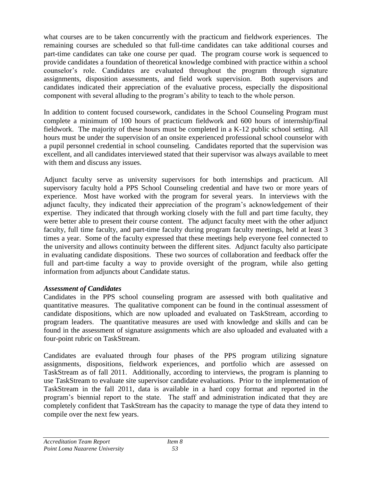what courses are to be taken concurrently with the practicum and fieldwork experiences. The remaining courses are scheduled so that full-time candidates can take additional courses and part-time candidates can take one course per quad. The program course work is sequenced to provide candidates a foundation of theoretical knowledge combined with practice within a school counselor's role. Candidates are evaluated throughout the program through signature assignments, disposition assessments, and field work supervision. Both supervisors and candidates indicated their appreciation of the evaluative process, especially the dispositional component with several alluding to the program's ability to teach to the whole person.

In addition to content focused coursework, candidates in the School Counseling Program must complete a minimum of 100 hours of practicum fieldwork and 600 hours of internship/final fieldwork. The majority of these hours must be completed in a K-12 public school setting. All hours must be under the supervision of an onsite experienced professional school counselor with a pupil personnel credential in school counseling. Candidates reported that the supervision was excellent, and all candidates interviewed stated that their supervisor was always available to meet with them and discuss any issues.

Adjunct faculty serve as university supervisors for both internships and practicum. All supervisory faculty hold a PPS School Counseling credential and have two or more years of experience. Most have worked with the program for several years. In interviews with the adjunct faculty, they indicated their appreciation of the program's acknowledgement of their expertise. They indicated that through working closely with the full and part time faculty, they were better able to present their course content. The adjunct faculty meet with the other adjunct faculty, full time faculty, and part-time faculty during program faculty meetings, held at least 3 times a year. Some of the faculty expressed that these meetings help everyone feel connected to the university and allows continuity between the different sites. Adjunct faculty also participate in evaluating candidate dispositions. These two sources of collaboration and feedback offer the full and part-time faculty a way to provide oversight of the program, while also getting information from adjuncts about Candidate status.

## *Assessment of Candidates*

Candidates in the PPS school counseling program are assessed with both qualitative and quantitative measures. The qualitative component can be found in the continual assessment of candidate dispositions, which are now uploaded and evaluated on TaskStream, according to program leaders. The quantitative measures are used with knowledge and skills and can be found in the assessment of signature assignments which are also uploaded and evaluated with a four-point rubric on TaskStream.

Candidates are evaluated through four phases of the PPS program utilizing signature assignments, dispositions, fieldwork experiences, and portfolio which are assessed on TaskStream as of fall 2011. Additionally, according to interviews, the program is planning to use TaskStream to evaluate site supervisor candidate evaluations. Prior to the implementation of TaskStream in the fall 2011, data is available in a hard copy format and reported in the program's biennial report to the state. The staff and administration indicated that they are completely confident that TaskStream has the capacity to manage the type of data they intend to compile over the next few years.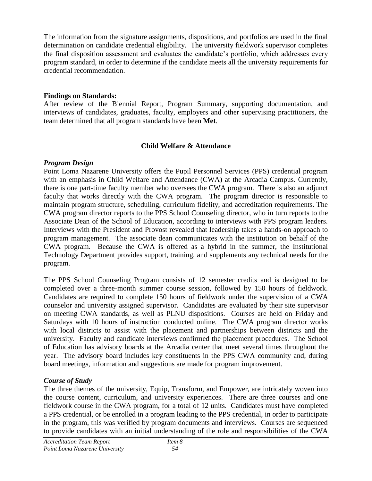The information from the signature assignments, dispositions, and portfolios are used in the final determination on candidate credential eligibility. The university fieldwork supervisor completes the final disposition assessment and evaluates the candidate's portfolio, which addresses every program standard, in order to determine if the candidate meets all the university requirements for credential recommendation.

## **Findings on Standards:**

After review of the Biennial Report, Program Summary, supporting documentation, and interviews of candidates, graduates, faculty, employers and other supervising practitioners, the team determined that all program standards have been **Met**.

#### **Child Welfare & Attendance**

#### *Program Design*

Point Loma Nazarene University offers the Pupil Personnel Services (PPS) credential program with an emphasis in Child Welfare and Attendance (CWA) at the Arcadia Campus. Currently, there is one part-time faculty member who oversees the CWA program. There is also an adjunct faculty that works directly with the CWA program. The program director is responsible to maintain program structure, scheduling, curriculum fidelity, and accreditation requirements. The CWA program director reports to the PPS School Counseling director, who in turn reports to the Associate Dean of the School of Education, according to interviews with PPS program leaders. Interviews with the President and Provost revealed that leadership takes a hands-on approach to program management. The associate dean communicates with the institution on behalf of the CWA program. Because the CWA is offered as a hybrid in the summer, the Institutional Technology Department provides support, training, and supplements any technical needs for the program.

The PPS School Counseling Program consists of 12 semester credits and is designed to be completed over a three-month summer course session, followed by 150 hours of fieldwork. Candidates are required to complete 150 hours of fieldwork under the supervision of a CWA counselor and university assigned supervisor. Candidates are evaluated by their site supervisor on meeting CWA standards, as well as PLNU dispositions. Courses are held on Friday and Saturdays with 10 hours of instruction conducted online. The CWA program director works with local districts to assist with the placement and partnerships between districts and the university. Faculty and candidate interviews confirmed the placement procedures. The School of Education has advisory boards at the Arcadia center that meet several times throughout the year. The advisory board includes key constituents in the PPS CWA community and, during board meetings, information and suggestions are made for program improvement.

## *Course of Study*

The three themes of the university, Equip, Transform, and Empower, are intricately woven into the course content, curriculum, and university experiences. There are three courses and one fieldwork course in the CWA program, for a total of 12 units. Candidates must have completed a PPS credential, or be enrolled in a program leading to the PPS credential, in order to participate in the program, this was verified by program documents and interviews. Courses are sequenced to provide candidates with an initial understanding of the role and responsibilities of the CWA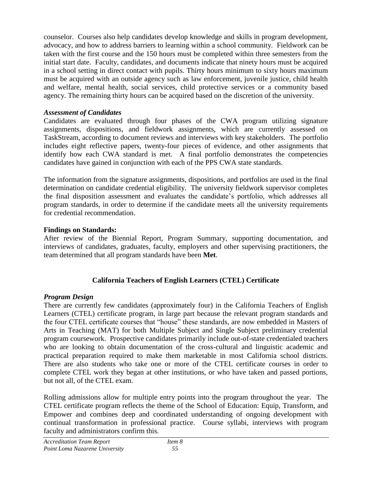counselor. Courses also help candidates develop knowledge and skills in program development, advocacy, and how to address barriers to learning within a school community. Fieldwork can be taken with the first course and the 150 hours must be completed within three semesters from the initial start date. Faculty, candidates, and documents indicate that ninety hours must be acquired in a school setting in direct contact with pupils. Thirty hours minimum to sixty hours maximum must be acquired with an outside agency such as law enforcement, juvenile justice, child health and welfare, mental health, social services, child protective services or a community based agency. The remaining thirty hours can be acquired based on the discretion of the university.

## *Assessment of Candidates*

Candidates are evaluated through four phases of the CWA program utilizing signature assignments, dispositions, and fieldwork assignments, which are currently assessed on TaskStream, according to document reviews and interviews with key stakeholders. The portfolio includes eight reflective papers, twenty-four pieces of evidence, and other assignments that identify how each CWA standard is met. A final portfolio demonstrates the competencies candidates have gained in conjunction with each of the PPS CWA state standards.

The information from the signature assignments, dispositions, and portfolios are used in the final determination on candidate credential eligibility. The university fieldwork supervisor completes the final disposition assessment and evaluates the candidate's portfolio, which addresses all program standards, in order to determine if the candidate meets all the university requirements for credential recommendation.

## **Findings on Standards:**

After review of the Biennial Report, Program Summary, supporting documentation, and interviews of candidates, graduates, faculty, employers and other supervising practitioners, the team determined that all program standards have been **Met**.

## **California Teachers of English Learners (CTEL) Certificate**

## *Program Design*

There are currently few candidates (approximately four) in the California Teachers of English Learners (CTEL) certificate program, in large part because the relevant program standards and the four CTEL certificate courses that "house" these standards, are now embedded in Masters of Arts in Teaching (MAT) for both Multiple Subject and Single Subject preliminary credential program coursework. Prospective candidates primarily include out-of-state credentialed teachers who are looking to obtain documentation of the cross-cultural and linguistic academic and practical preparation required to make them marketable in most California school districts. There are also students who take one or more of the CTEL certificate courses in order to complete CTEL work they began at other institutions, or who have taken and passed portions, but not all, of the CTEL exam.

Rolling admissions allow for multiple entry points into the program throughout the year. The CTEL certificate program reflects the theme of the School of Education: Equip, Transform, and Empower and combines deep and coordinated understanding of ongoing development with continual transformation in professional practice. Course syllabi, interviews with program faculty and administrators confirm this.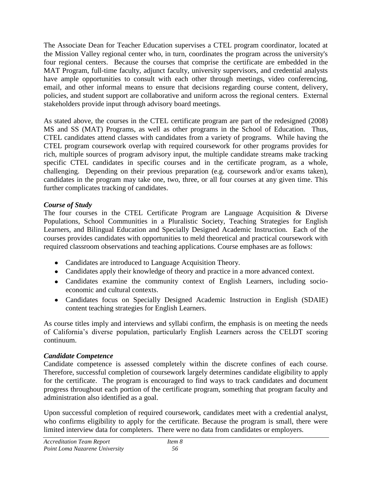The Associate Dean for Teacher Education supervises a CTEL program coordinator, located at the Mission Valley regional center who, in turn, coordinates the program across the university's four regional centers. Because the courses that comprise the certificate are embedded in the MAT Program, full-time faculty, adjunct faculty, university supervisors, and credential analysts have ample opportunities to consult with each other through meetings, video conferencing, email, and other informal means to ensure that decisions regarding course content, delivery, policies, and student support are collaborative and uniform across the regional centers. External stakeholders provide input through advisory board meetings.

As stated above, the courses in the CTEL certificate program are part of the redesigned (2008) MS and SS (MAT) Programs, as well as other programs in the School of Education. Thus, CTEL candidates attend classes with candidates from a variety of programs. While having the CTEL program coursework overlap with required coursework for other programs provides for rich, multiple sources of program advisory input, the multiple candidate streams make tracking specific CTEL candidates in specific courses and in the certificate program, as a whole, challenging. Depending on their previous preparation (e.g. coursework and/or exams taken), candidates in the program may take one, two, three, or all four courses at any given time. This further complicates tracking of candidates.

## *Course of Study*

The four courses in the CTEL Certificate Program are Language Acquisition & Diverse Populations, School Communities in a Pluralistic Society, Teaching Strategies for English Learners, and Bilingual Education and Specially Designed Academic Instruction. Each of the courses provides candidates with opportunities to meld theoretical and practical coursework with required classroom observations and teaching applications. Course emphases are as follows:

- Candidates are introduced to Language Acquisition Theory.
- Candidates apply their knowledge of theory and practice in a more advanced context.
- Candidates examine the community context of English Learners, including socioeconomic and cultural contexts.
- Candidates focus on Specially Designed Academic Instruction in English (SDAIE) content teaching strategies for English Learners.

As course titles imply and interviews and syllabi confirm, the emphasis is on meeting the needs of California's diverse population, particularly English Learners across the CELDT scoring continuum.

## *Candidate Competence*

Candidate competence is assessed completely within the discrete confines of each course. Therefore, successful completion of coursework largely determines candidate eligibility to apply for the certificate. The program is encouraged to find ways to track candidates and document progress throughout each portion of the certificate program, something that program faculty and administration also identified as a goal.

Upon successful completion of required coursework, candidates meet with a credential analyst, who confirms eligibility to apply for the certificate. Because the program is small, there were limited interview data for completers. There were no data from candidates or employers.